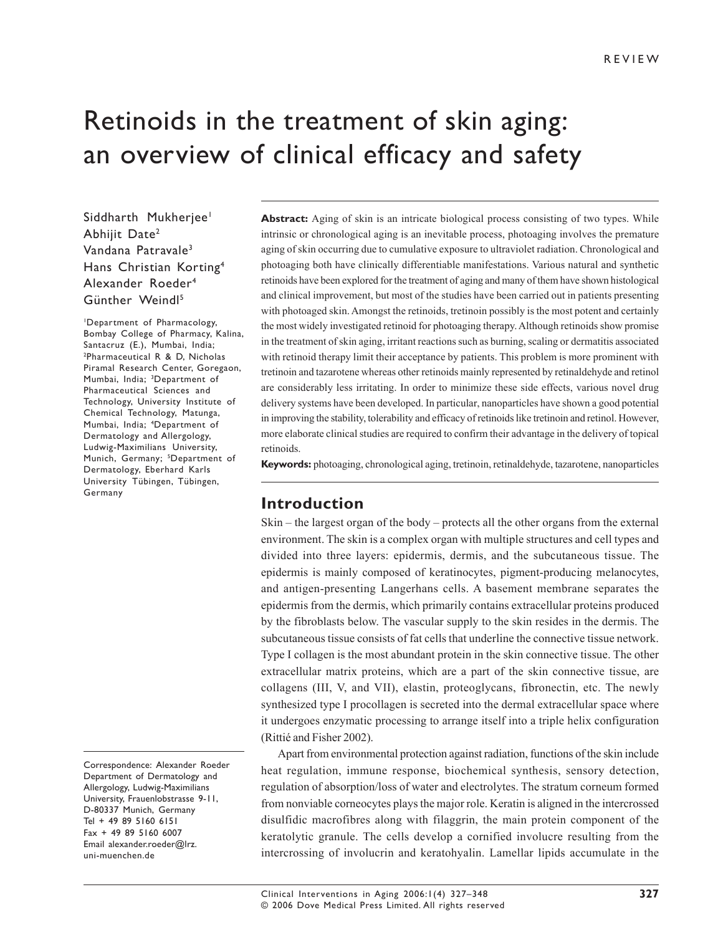# Retinoids in the treatment of skin aging: an overview of clinical efficacy and safety

Siddharth Mukherjee<sup>1</sup> Abhijit Date2 Vandana Patravale3 Hans Christian Korting4 Alexander Roeder4 Günther Weindl5

1 Department of Pharmacology, Bombay College of Pharmacy, Kalina, Santacruz (E.), Mumbai, India; 2 Pharmaceutical R & D, Nicholas Piramal Research Center, Goregaon, Mumbai, India; <sup>3</sup>Department of Pharmaceutical Sciences and Technology, University Institute of Chemical Technology, Matunga, Mumbai, India; 4 Department of Dermatology and Allergology, Ludwig-Maximilians University, Munich, Germany; <sup>5</sup>Department of Dermatology, Eberhard Karls University Tübingen, Tübingen, Germany

Correspondence: Alexander Roeder Department of Dermatology and Allergology, Ludwig-Maximilians University, Frauenlobstrasse 9-11, D-80337 Munich, Germany Tel + 49 89 5160 6151 Fax + 49 89 5160 6007 Email alexander.roeder@lrz. uni-muenchen.de

**Abstract:** Aging of skin is an intricate biological process consisting of two types. While intrinsic or chronological aging is an inevitable process, photoaging involves the premature aging of skin occurring due to cumulative exposure to ultraviolet radiation. Chronological and photoaging both have clinically differentiable manifestations. Various natural and synthetic retinoids have been explored for the treatment of aging and many of them have shown histological and clinical improvement, but most of the studies have been carried out in patients presenting with photoaged skin. Amongst the retinoids, tretinoin possibly is the most potent and certainly the most widely investigated retinoid for photoaging therapy. Although retinoids show promise in the treatment of skin aging, irritant reactions such as burning, scaling or dermatitis associated with retinoid therapy limit their acceptance by patients. This problem is more prominent with tretinoin and tazarotene whereas other retinoids mainly represented by retinaldehyde and retinol are considerably less irritating. In order to minimize these side effects, various novel drug delivery systems have been developed. In particular, nanoparticles have shown a good potential in improving the stability, tolerability and efficacy of retinoids like tretinoin and retinol. However, more elaborate clinical studies are required to confirm their advantage in the delivery of topical retinoids.

**Keywords:** photoaging, chronological aging, tretinoin, retinaldehyde, tazarotene, nanoparticles

### **Introduction**

Skin – the largest organ of the body – protects all the other organs from the external environment. The skin is a complex organ with multiple structures and cell types and divided into three layers: epidermis, dermis, and the subcutaneous tissue. The epidermis is mainly composed of keratinocytes, pigment-producing melanocytes, and antigen-presenting Langerhans cells. A basement membrane separates the epidermis from the dermis, which primarily contains extracellular proteins produced by the fibroblasts below. The vascular supply to the skin resides in the dermis. The subcutaneous tissue consists of fat cells that underline the connective tissue network. Type I collagen is the most abundant protein in the skin connective tissue. The other extracellular matrix proteins, which are a part of the skin connective tissue, are collagens (III, V, and VII), elastin, proteoglycans, fibronectin, etc. The newly synthesized type I procollagen is secreted into the dermal extracellular space where it undergoes enzymatic processing to arrange itself into a triple helix configuration (Rittié and Fisher 2002).

Apart from environmental protection against radiation, functions of the skin include heat regulation, immune response, biochemical synthesis, sensory detection, regulation of absorption/loss of water and electrolytes. The stratum corneum formed from nonviable corneocytes plays the major role. Keratin is aligned in the intercrossed disulfidic macrofibres along with filaggrin, the main protein component of the keratolytic granule. The cells develop a cornified involucre resulting from the intercrossing of involucrin and keratohyalin. Lamellar lipids accumulate in the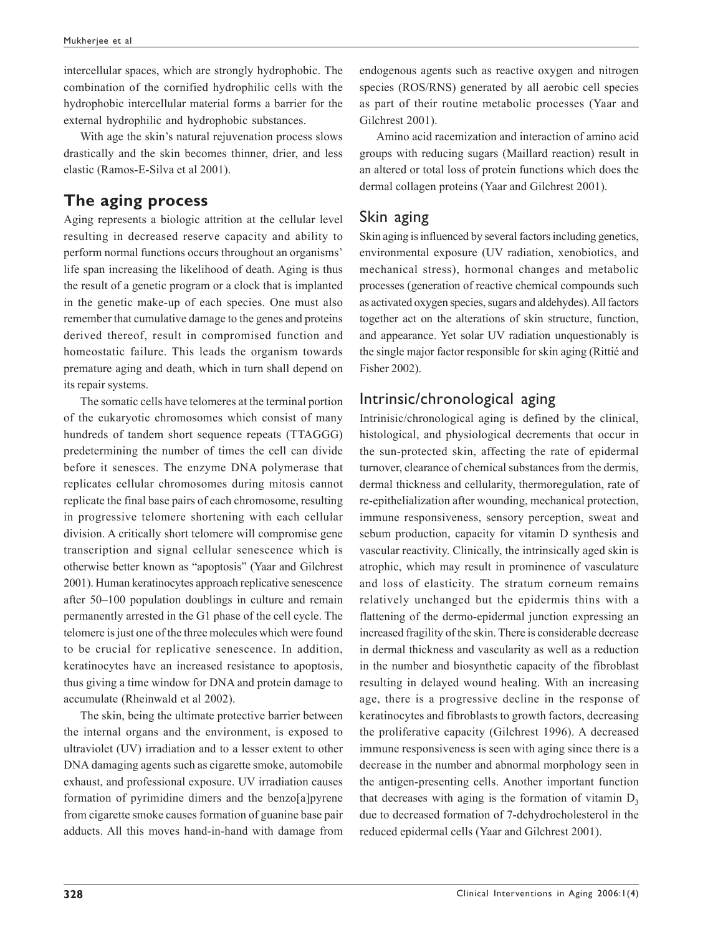intercellular spaces, which are strongly hydrophobic. The combination of the cornified hydrophilic cells with the hydrophobic intercellular material forms a barrier for the external hydrophilic and hydrophobic substances.

With age the skin's natural rejuvenation process slows drastically and the skin becomes thinner, drier, and less elastic (Ramos-E-Silva et al 2001).

### **The aging process**

Aging represents a biologic attrition at the cellular level resulting in decreased reserve capacity and ability to perform normal functions occurs throughout an organisms' life span increasing the likelihood of death. Aging is thus the result of a genetic program or a clock that is implanted in the genetic make-up of each species. One must also remember that cumulative damage to the genes and proteins derived thereof, result in compromised function and homeostatic failure. This leads the organism towards premature aging and death, which in turn shall depend on its repair systems.

The somatic cells have telomeres at the terminal portion of the eukaryotic chromosomes which consist of many hundreds of tandem short sequence repeats (TTAGGG) predetermining the number of times the cell can divide before it senesces. The enzyme DNA polymerase that replicates cellular chromosomes during mitosis cannot replicate the final base pairs of each chromosome, resulting in progressive telomere shortening with each cellular division. A critically short telomere will compromise gene transcription and signal cellular senescence which is otherwise better known as "apoptosis" (Yaar and Gilchrest 2001). Human keratinocytes approach replicative senescence after 50–100 population doublings in culture and remain permanently arrested in the G1 phase of the cell cycle. The telomere is just one of the three molecules which were found to be crucial for replicative senescence. In addition, keratinocytes have an increased resistance to apoptosis, thus giving a time window for DNA and protein damage to accumulate (Rheinwald et al 2002).

The skin, being the ultimate protective barrier between the internal organs and the environment, is exposed to ultraviolet (UV) irradiation and to a lesser extent to other DNA damaging agents such as cigarette smoke, automobile exhaust, and professional exposure. UV irradiation causes formation of pyrimidine dimers and the benzo[a]pyrene from cigarette smoke causes formation of guanine base pair adducts. All this moves hand-in-hand with damage from endogenous agents such as reactive oxygen and nitrogen species (ROS/RNS) generated by all aerobic cell species as part of their routine metabolic processes (Yaar and Gilchrest 2001).

Amino acid racemization and interaction of amino acid groups with reducing sugars (Maillard reaction) result in an altered or total loss of protein functions which does the dermal collagen proteins (Yaar and Gilchrest 2001).

### Skin aging

Skin aging is influenced by several factors including genetics, environmental exposure (UV radiation, xenobiotics, and mechanical stress), hormonal changes and metabolic processes (generation of reactive chemical compounds such as activated oxygen species, sugars and aldehydes). All factors together act on the alterations of skin structure, function, and appearance. Yet solar UV radiation unquestionably is the single major factor responsible for skin aging (Rittié and Fisher 2002).

### Intrinsic/chronological aging

Intrinisic/chronological aging is defined by the clinical, histological, and physiological decrements that occur in the sun-protected skin, affecting the rate of epidermal turnover, clearance of chemical substances from the dermis, dermal thickness and cellularity, thermoregulation, rate of re-epithelialization after wounding, mechanical protection, immune responsiveness, sensory perception, sweat and sebum production, capacity for vitamin D synthesis and vascular reactivity. Clinically, the intrinsically aged skin is atrophic, which may result in prominence of vasculature and loss of elasticity. The stratum corneum remains relatively unchanged but the epidermis thins with a flattening of the dermo-epidermal junction expressing an increased fragility of the skin. There is considerable decrease in dermal thickness and vascularity as well as a reduction in the number and biosynthetic capacity of the fibroblast resulting in delayed wound healing. With an increasing age, there is a progressive decline in the response of keratinocytes and fibroblasts to growth factors, decreasing the proliferative capacity (Gilchrest 1996). A decreased immune responsiveness is seen with aging since there is a decrease in the number and abnormal morphology seen in the antigen-presenting cells. Another important function that decreases with aging is the formation of vitamin  $D_3$ due to decreased formation of 7-dehydrocholesterol in the reduced epidermal cells (Yaar and Gilchrest 2001).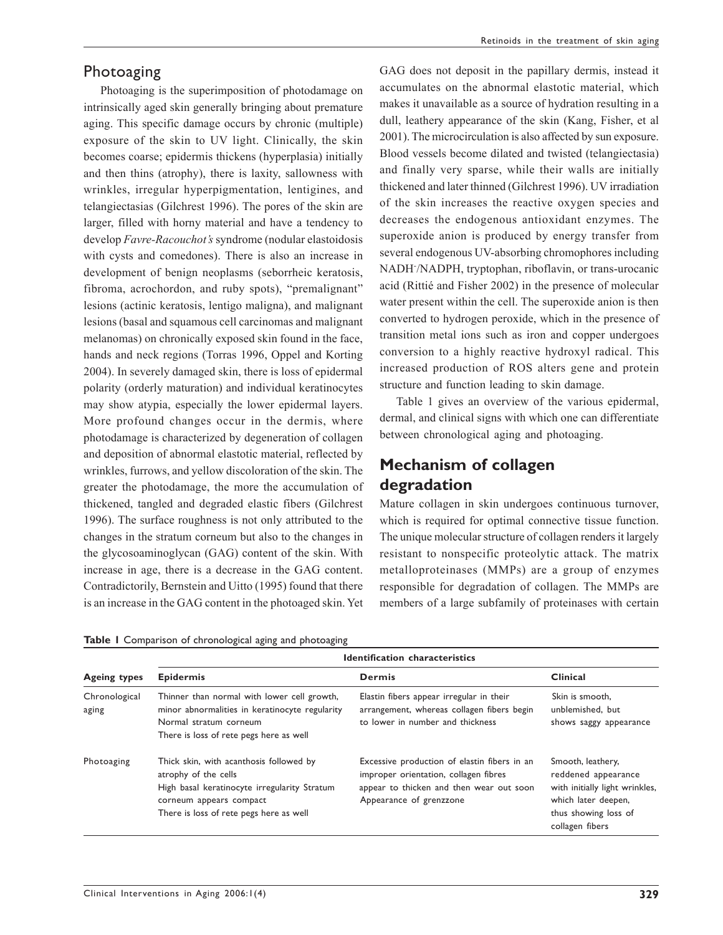#### Photoaging

Photoaging is the superimposition of photodamage on intrinsically aged skin generally bringing about premature aging. This specific damage occurs by chronic (multiple) exposure of the skin to UV light. Clinically, the skin becomes coarse; epidermis thickens (hyperplasia) initially and then thins (atrophy), there is laxity, sallowness with wrinkles, irregular hyperpigmentation, lentigines, and telangiectasias (Gilchrest 1996). The pores of the skin are larger, filled with horny material and have a tendency to develop *Favre-Racouchot's* syndrome (nodular elastoidosis with cysts and comedones). There is also an increase in development of benign neoplasms (seborrheic keratosis, fibroma, acrochordon, and ruby spots), "premalignant" lesions (actinic keratosis, lentigo maligna), and malignant lesions (basal and squamous cell carcinomas and malignant melanomas) on chronically exposed skin found in the face, hands and neck regions (Torras 1996, Oppel and Korting 2004). In severely damaged skin, there is loss of epidermal polarity (orderly maturation) and individual keratinocytes may show atypia, especially the lower epidermal layers. More profound changes occur in the dermis, where photodamage is characterized by degeneration of collagen and deposition of abnormal elastotic material, reflected by wrinkles, furrows, and yellow discoloration of the skin. The greater the photodamage, the more the accumulation of thickened, tangled and degraded elastic fibers (Gilchrest 1996). The surface roughness is not only attributed to the changes in the stratum corneum but also to the changes in the glycosoaminoglycan (GAG) content of the skin. With increase in age, there is a decrease in the GAG content. Contradictorily, Bernstein and Uitto (1995) found that there is an increase in the GAG content in the photoaged skin. Yet

GAG does not deposit in the papillary dermis, instead it accumulates on the abnormal elastotic material, which makes it unavailable as a source of hydration resulting in a dull, leathery appearance of the skin (Kang, Fisher, et al 2001). The microcirculation is also affected by sun exposure. Blood vessels become dilated and twisted (telangiectasia) and finally very sparse, while their walls are initially thickened and later thinned (Gilchrest 1996). UV irradiation of the skin increases the reactive oxygen species and decreases the endogenous antioxidant enzymes. The superoxide anion is produced by energy transfer from several endogenous UV-absorbing chromophores including NADH- /NADPH, tryptophan, riboflavin, or trans-urocanic acid (Rittié and Fisher 2002) in the presence of molecular water present within the cell. The superoxide anion is then converted to hydrogen peroxide, which in the presence of transition metal ions such as iron and copper undergoes conversion to a highly reactive hydroxyl radical. This increased production of ROS alters gene and protein structure and function leading to skin damage.

Table 1 gives an overview of the various epidermal, dermal, and clinical signs with which one can differentiate between chronological aging and photoaging.

### **Mechanism of collagen degradation**

Mature collagen in skin undergoes continuous turnover, which is required for optimal connective tissue function. The unique molecular structure of collagen renders it largely resistant to nonspecific proteolytic attack. The matrix metalloproteinases (MMPs) are a group of enzymes responsible for degradation of collagen. The MMPs are members of a large subfamily of proteinases with certain

| <b>Ageing types</b>    | Identification characteristics                                                                                                                                                        |                                                                                                                                                              |                                                                                                                                              |  |  |  |
|------------------------|---------------------------------------------------------------------------------------------------------------------------------------------------------------------------------------|--------------------------------------------------------------------------------------------------------------------------------------------------------------|----------------------------------------------------------------------------------------------------------------------------------------------|--|--|--|
|                        | <b>Epidermis</b>                                                                                                                                                                      | <b>Dermis</b>                                                                                                                                                | Clinical                                                                                                                                     |  |  |  |
| Chronological<br>aging | Thinner than normal with lower cell growth,<br>minor abnormalities in keratinocyte regularity<br>Normal stratum corneum<br>There is loss of rete pegs here as well                    | Elastin fibers appear irregular in their<br>arrangement, whereas collagen fibers begin<br>to lower in number and thickness                                   | Skin is smooth,<br>unblemished, but<br>shows saggy appearance                                                                                |  |  |  |
| Photoaging             | Thick skin, with acanthosis followed by<br>atrophy of the cells<br>High basal keratinocyte irregularity Stratum<br>corneum appears compact<br>There is loss of rete pegs here as well | Excessive production of elastin fibers in an<br>improper orientation, collagen fibres<br>appear to thicken and then wear out soon<br>Appearance of grenzzone | Smooth, leathery,<br>reddened appearance<br>with initially light wrinkles,<br>which later deepen,<br>thus showing loss of<br>collagen fibers |  |  |  |

| Table I Comparison of chronological aging and photoaging |  |
|----------------------------------------------------------|--|
|----------------------------------------------------------|--|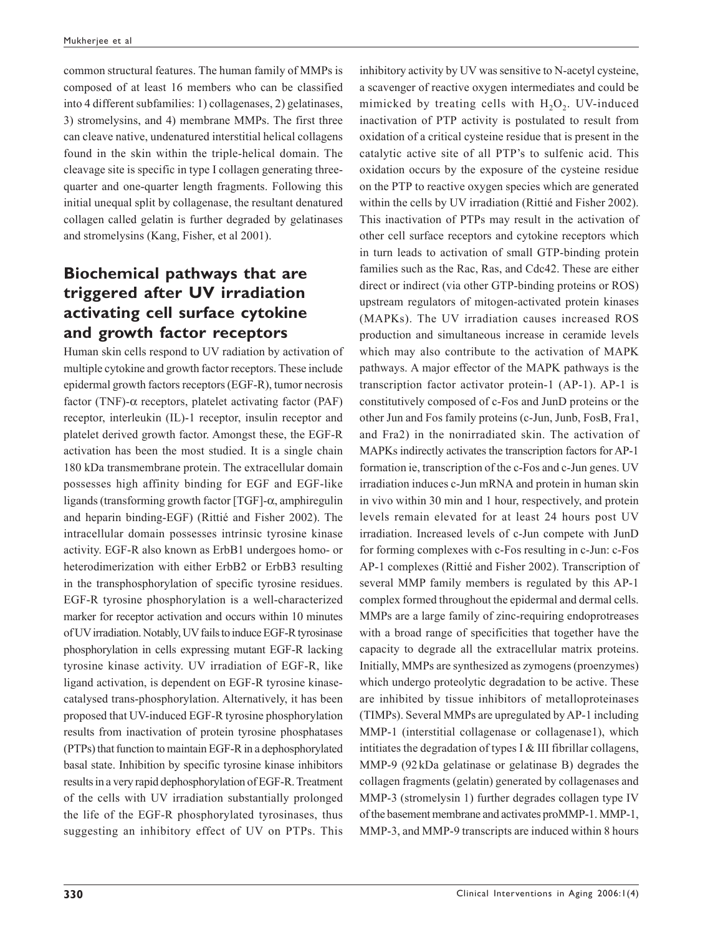common structural features. The human family of MMPs is composed of at least 16 members who can be classified into 4 different subfamilies: 1) collagenases, 2) gelatinases, 3) stromelysins, and 4) membrane MMPs. The first three can cleave native, undenatured interstitial helical collagens found in the skin within the triple-helical domain. The cleavage site is specific in type I collagen generating threequarter and one-quarter length fragments. Following this initial unequal split by collagenase, the resultant denatured collagen called gelatin is further degraded by gelatinases and stromelysins (Kang, Fisher, et al 2001).

## **Biochemical pathways that are triggered after UV irradiation activating cell surface cytokine and growth factor receptors**

Human skin cells respond to UV radiation by activation of multiple cytokine and growth factor receptors. These include epidermal growth factors receptors (EGF-R), tumor necrosis factor (TNF)-α receptors, platelet activating factor (PAF) receptor, interleukin (IL)-1 receptor, insulin receptor and platelet derived growth factor. Amongst these, the EGF-R activation has been the most studied. It is a single chain 180 kDa transmembrane protein. The extracellular domain possesses high affinity binding for EGF and EGF-like ligands (transforming growth factor [TGF]-α, amphiregulin and heparin binding-EGF) (Rittié and Fisher 2002). The intracellular domain possesses intrinsic tyrosine kinase activity. EGF-R also known as ErbB1 undergoes homo- or heterodimerization with either ErbB2 or ErbB3 resulting in the transphosphorylation of specific tyrosine residues. EGF-R tyrosine phosphorylation is a well-characterized marker for receptor activation and occurs within 10 minutes of UV irradiation. Notably, UV fails to induce EGF-R tyrosinase phosphorylation in cells expressing mutant EGF-R lacking tyrosine kinase activity. UV irradiation of EGF-R, like ligand activation, is dependent on EGF-R tyrosine kinasecatalysed trans-phosphorylation. Alternatively, it has been proposed that UV-induced EGF-R tyrosine phosphorylation results from inactivation of protein tyrosine phosphatases (PTPs) that function to maintain EGF-R in a dephosphorylated basal state. Inhibition by specific tyrosine kinase inhibitors results in a very rapid dephosphorylation of EGF-R. Treatment of the cells with UV irradiation substantially prolonged the life of the EGF-R phosphorylated tyrosinases, thus suggesting an inhibitory effect of UV on PTPs. This inhibitory activity by UV was sensitive to N-acetyl cysteine, a scavenger of reactive oxygen intermediates and could be mimicked by treating cells with  $H_2O_2$ . UV-induced inactivation of PTP activity is postulated to result from oxidation of a critical cysteine residue that is present in the catalytic active site of all PTP's to sulfenic acid. This oxidation occurs by the exposure of the cysteine residue on the PTP to reactive oxygen species which are generated within the cells by UV irradiation (Rittié and Fisher 2002). This inactivation of PTPs may result in the activation of other cell surface receptors and cytokine receptors which in turn leads to activation of small GTP-binding protein families such as the Rac, Ras, and Cdc42. These are either direct or indirect (via other GTP-binding proteins or ROS) upstream regulators of mitogen-activated protein kinases (MAPKs). The UV irradiation causes increased ROS production and simultaneous increase in ceramide levels which may also contribute to the activation of MAPK pathways. A major effector of the MAPK pathways is the transcription factor activator protein-1 (AP-1). AP-1 is constitutively composed of c-Fos and JunD proteins or the other Jun and Fos family proteins (c-Jun, Junb, FosB, Fra1, and Fra2) in the nonirradiated skin. The activation of MAPKs indirectly activates the transcription factors for AP-1 formation ie, transcription of the c-Fos and c-Jun genes. UV irradiation induces c-Jun mRNA and protein in human skin in vivo within 30 min and 1 hour, respectively, and protein levels remain elevated for at least 24 hours post UV irradiation. Increased levels of c-Jun compete with JunD for forming complexes with c-Fos resulting in c-Jun: c-Fos AP-1 complexes (Rittié and Fisher 2002). Transcription of several MMP family members is regulated by this AP-1 complex formed throughout the epidermal and dermal cells. MMPs are a large family of zinc-requiring endoprotreases with a broad range of specificities that together have the capacity to degrade all the extracellular matrix proteins. Initially, MMPs are synthesized as zymogens (proenzymes) which undergo proteolytic degradation to be active. These are inhibited by tissue inhibitors of metalloproteinases (TIMPs). Several MMPs are upregulated by AP-1 including MMP-1 (interstitial collagenase or collagenase1), which intitiates the degradation of types I  $&$  III fibrillar collagens, MMP-9 (92 kDa gelatinase or gelatinase B) degrades the collagen fragments (gelatin) generated by collagenases and MMP-3 (stromelysin 1) further degrades collagen type IV of the basement membrane and activates proMMP-1. MMP-1, MMP-3, and MMP-9 transcripts are induced within 8 hours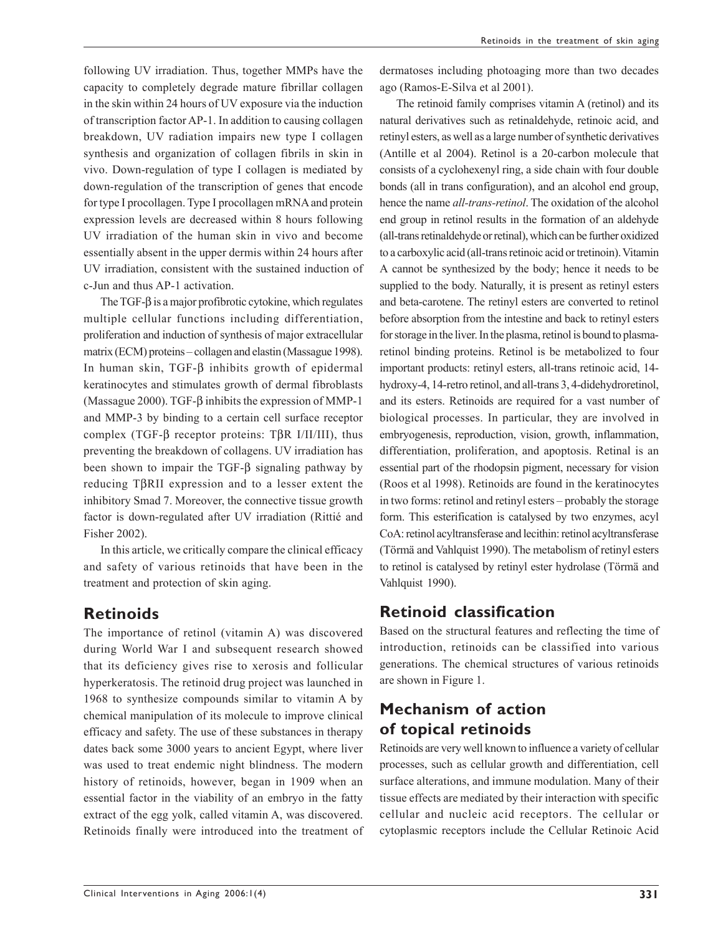following UV irradiation. Thus, together MMPs have the capacity to completely degrade mature fibrillar collagen in the skin within 24 hours of UV exposure via the induction of transcription factor AP-1. In addition to causing collagen breakdown, UV radiation impairs new type I collagen synthesis and organization of collagen fibrils in skin in vivo. Down-regulation of type I collagen is mediated by down-regulation of the transcription of genes that encode for type I procollagen. Type I procollagen mRNA and protein expression levels are decreased within 8 hours following UV irradiation of the human skin in vivo and become essentially absent in the upper dermis within 24 hours after UV irradiation, consistent with the sustained induction of c-Jun and thus AP-1 activation.

The TGF-β is a major profibrotic cytokine, which regulates multiple cellular functions including differentiation, proliferation and induction of synthesis of major extracellular matrix (ECM) proteins – collagen and elastin (Massague 1998). In human skin, TGF-β inhibits growth of epidermal keratinocytes and stimulates growth of dermal fibroblasts (Massague 2000). TGF-β inhibits the expression of MMP-1 and MMP-3 by binding to a certain cell surface receptor complex (TGF-β receptor proteins: TβR I/II/III), thus preventing the breakdown of collagens. UV irradiation has been shown to impair the TGF-β signaling pathway by reducing TβRII expression and to a lesser extent the inhibitory Smad 7. Moreover, the connective tissue growth factor is down-regulated after UV irradiation (Rittié and Fisher 2002).

In this article, we critically compare the clinical efficacy and safety of various retinoids that have been in the treatment and protection of skin aging.

### **Retinoids**

The importance of retinol (vitamin A) was discovered during World War I and subsequent research showed that its deficiency gives rise to xerosis and follicular hyperkeratosis. The retinoid drug project was launched in 1968 to synthesize compounds similar to vitamin A by chemical manipulation of its molecule to improve clinical efficacy and safety. The use of these substances in therapy dates back some 3000 years to ancient Egypt, where liver was used to treat endemic night blindness. The modern history of retinoids, however, began in 1909 when an essential factor in the viability of an embryo in the fatty extract of the egg yolk, called vitamin A, was discovered. Retinoids finally were introduced into the treatment of dermatoses including photoaging more than two decades ago (Ramos-E-Silva et al 2001).

The retinoid family comprises vitamin A (retinol) and its natural derivatives such as retinaldehyde, retinoic acid, and retinyl esters, as well as a large number of synthetic derivatives (Antille et al 2004). Retinol is a 20-carbon molecule that consists of a cyclohexenyl ring, a side chain with four double bonds (all in trans configuration), and an alcohol end group, hence the name *all-trans-retinol*. The oxidation of the alcohol end group in retinol results in the formation of an aldehyde (all-trans retinaldehyde or retinal), which can be further oxidized to a carboxylic acid (all-trans retinoic acid or tretinoin). Vitamin A cannot be synthesized by the body; hence it needs to be supplied to the body. Naturally, it is present as retinyl esters and beta-carotene. The retinyl esters are converted to retinol before absorption from the intestine and back to retinyl esters for storage in the liver. In the plasma, retinol is bound to plasmaretinol binding proteins. Retinol is be metabolized to four important products: retinyl esters, all-trans retinoic acid, 14 hydroxy-4, 14-retro retinol, and all-trans 3, 4-didehydroretinol, and its esters. Retinoids are required for a vast number of biological processes. In particular, they are involved in embryogenesis, reproduction, vision, growth, inflammation, differentiation, proliferation, and apoptosis. Retinal is an essential part of the rhodopsin pigment, necessary for vision (Roos et al 1998). Retinoids are found in the keratinocytes in two forms: retinol and retinyl esters – probably the storage form. This esterification is catalysed by two enzymes, acyl CoA: retinol acyltransferase and lecithin: retinol acyltransferase (Törmä and Vahlquist 1990). The metabolism of retinyl esters to retinol is catalysed by retinyl ester hydrolase (Törmä and Vahlquist 1990).

### **Retinoid classification**

Based on the structural features and reflecting the time of introduction, retinoids can be classified into various generations. The chemical structures of various retinoids are shown in Figure 1.

### **Mechanism of action of topical retinoids**

Retinoids are very well known to influence a variety of cellular processes, such as cellular growth and differentiation, cell surface alterations, and immune modulation. Many of their tissue effects are mediated by their interaction with specific cellular and nucleic acid receptors. The cellular or cytoplasmic receptors include the Cellular Retinoic Acid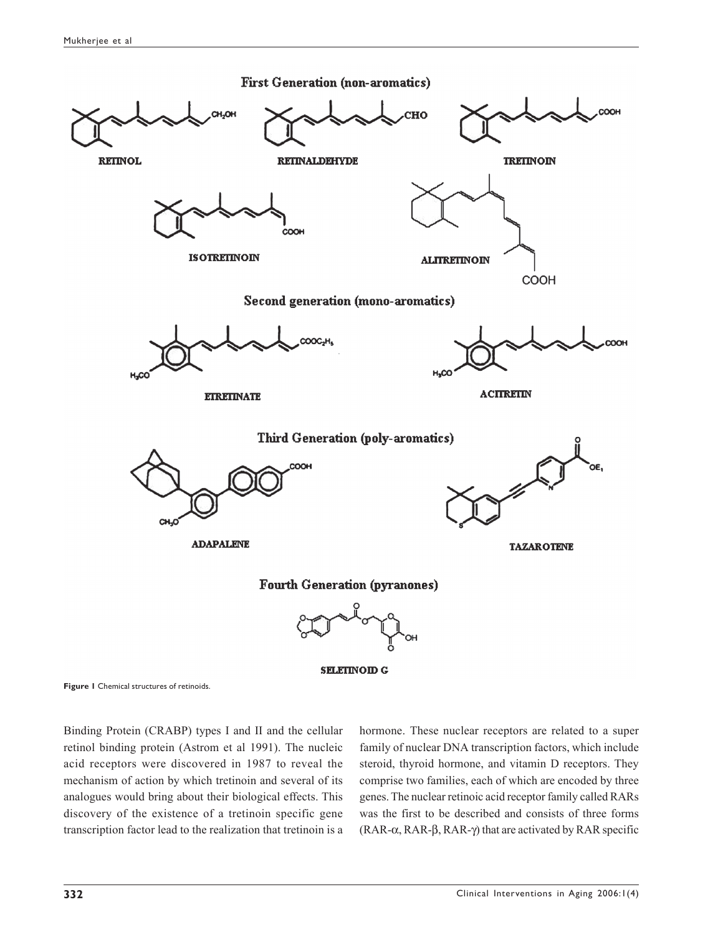

**Figure 1** Chemical structures of retinoids.

Binding Protein (CRABP) types I and II and the cellular retinol binding protein (Astrom et al 1991). The nucleic acid receptors were discovered in 1987 to reveal the mechanism of action by which tretinoin and several of its analogues would bring about their biological effects. This discovery of the existence of a tretinoin specific gene transcription factor lead to the realization that tretinoin is a hormone. These nuclear receptors are related to a super family of nuclear DNA transcription factors, which include steroid, thyroid hormone, and vitamin D receptors. They comprise two families, each of which are encoded by three genes. The nuclear retinoic acid receptor family called RARs was the first to be described and consists of three forms (RAR-α, RAR-β, RAR-γ) that are activated by RAR specific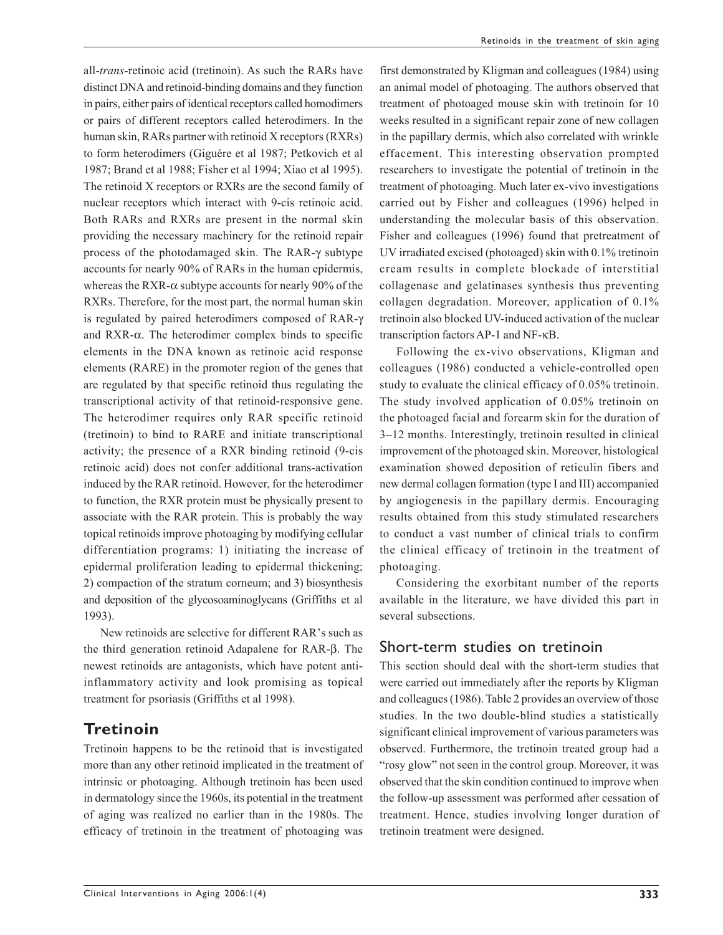all-*trans*-retinoic acid (tretinoin). As such the RARs have distinct DNA and retinoid-binding domains and they function in pairs, either pairs of identical receptors called homodimers or pairs of different receptors called heterodimers. In the human skin, RARs partner with retinoid X receptors (RXRs) to form heterodimers (Giguére et al 1987; Petkovich et al 1987; Brand et al 1988; Fisher et al 1994; Xiao et al 1995). The retinoid X receptors or RXRs are the second family of nuclear receptors which interact with 9-cis retinoic acid. Both RARs and RXRs are present in the normal skin providing the necessary machinery for the retinoid repair process of the photodamaged skin. The RAR-γ subtype accounts for nearly 90% of RARs in the human epidermis, whereas the RXR- $\alpha$  subtype accounts for nearly 90% of the RXRs. Therefore, for the most part, the normal human skin is regulated by paired heterodimers composed of RAR-γ and RXR-α. The heterodimer complex binds to specific elements in the DNA known as retinoic acid response elements (RARE) in the promoter region of the genes that are regulated by that specific retinoid thus regulating the transcriptional activity of that retinoid-responsive gene. The heterodimer requires only RAR specific retinoid (tretinoin) to bind to RARE and initiate transcriptional activity; the presence of a RXR binding retinoid (9-cis retinoic acid) does not confer additional trans-activation induced by the RAR retinoid. However, for the heterodimer to function, the RXR protein must be physically present to associate with the RAR protein. This is probably the way topical retinoids improve photoaging by modifying cellular differentiation programs: 1) initiating the increase of epidermal proliferation leading to epidermal thickening; 2) compaction of the stratum corneum; and 3) biosynthesis and deposition of the glycosoaminoglycans (Griffiths et al 1993).

New retinoids are selective for different RAR's such as the third generation retinoid Adapalene for RAR-β. The newest retinoids are antagonists, which have potent antiinflammatory activity and look promising as topical treatment for psoriasis (Griffiths et al 1998).

### **Tretinoin**

Tretinoin happens to be the retinoid that is investigated more than any other retinoid implicated in the treatment of intrinsic or photoaging. Although tretinoin has been used in dermatology since the 1960s, its potential in the treatment of aging was realized no earlier than in the 1980s. The efficacy of tretinoin in the treatment of photoaging was

first demonstrated by Kligman and colleagues (1984) using an animal model of photoaging. The authors observed that treatment of photoaged mouse skin with tretinoin for 10 weeks resulted in a significant repair zone of new collagen in the papillary dermis, which also correlated with wrinkle effacement. This interesting observation prompted researchers to investigate the potential of tretinoin in the treatment of photoaging. Much later ex-vivo investigations carried out by Fisher and colleagues (1996) helped in understanding the molecular basis of this observation. Fisher and colleagues (1996) found that pretreatment of UV irradiated excised (photoaged) skin with 0.1% tretinoin cream results in complete blockade of interstitial collagenase and gelatinases synthesis thus preventing collagen degradation. Moreover, application of 0.1% tretinoin also blocked UV-induced activation of the nuclear

Following the ex-vivo observations, Kligman and colleagues (1986) conducted a vehicle-controlled open study to evaluate the clinical efficacy of 0.05% tretinoin. The study involved application of 0.05% tretinoin on the photoaged facial and forearm skin for the duration of 3–12 months. Interestingly, tretinoin resulted in clinical improvement of the photoaged skin. Moreover, histological examination showed deposition of reticulin fibers and new dermal collagen formation (type I and III) accompanied by angiogenesis in the papillary dermis. Encouraging results obtained from this study stimulated researchers to conduct a vast number of clinical trials to confirm the clinical efficacy of tretinoin in the treatment of photoaging.

transcription factors AP-1 and NF-κB.

Considering the exorbitant number of the reports available in the literature, we have divided this part in several subsections.

### Short-term studies on tretinoin

This section should deal with the short-term studies that were carried out immediately after the reports by Kligman and colleagues (1986). Table 2 provides an overview of those studies. In the two double-blind studies a statistically significant clinical improvement of various parameters was observed. Furthermore, the tretinoin treated group had a "rosy glow" not seen in the control group. Moreover, it was observed that the skin condition continued to improve when the follow-up assessment was performed after cessation of treatment. Hence, studies involving longer duration of tretinoin treatment were designed.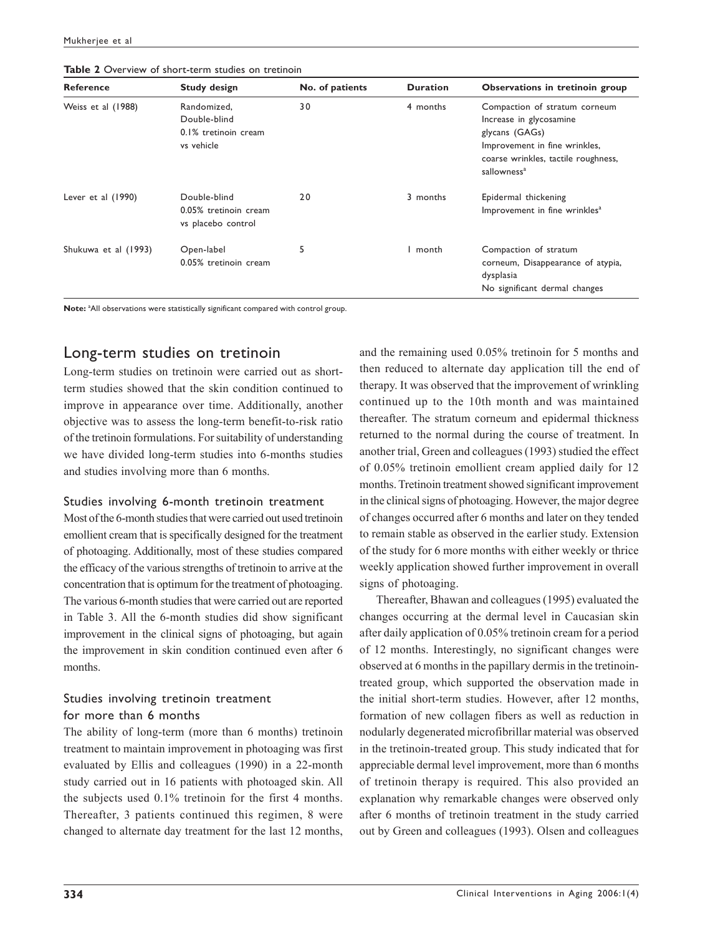| <b>Reference</b>     | <b>Study design</b>                                               | No. of patients | <b>Duration</b> | Observations in tretinoin group                                                                                                                                               |
|----------------------|-------------------------------------------------------------------|-----------------|-----------------|-------------------------------------------------------------------------------------------------------------------------------------------------------------------------------|
| Weiss et al (1988)   | Randomized,<br>Double-blind<br>0.1% tretinoin cream<br>vs vehicle | 30              | 4 months        | Compaction of stratum corneum<br>Increase in glycosamine<br>glycans (GAGs)<br>Improvement in fine wrinkles,<br>coarse wrinkles, tactile roughness,<br>sallowness <sup>a</sup> |
| Lever et al $(1990)$ | Double-blind<br>0.05% tretinoin cream<br>vs placebo control       | 20              | 3 months        | Epidermal thickening<br>Improvement in fine wrinkles <sup>a</sup>                                                                                                             |
| Shukuwa et al (1993) | Open-label<br>0.05% tretinoin cream                               | 5               | l month         | Compaction of stratum<br>corneum, Disappearance of atypia,<br>dysplasia<br>No significant dermal changes                                                                      |

**Table 2** Overview of short-term studies on tretinoin

Note: <sup>a</sup>All observations were statistically significant compared with control group.

### Long-term studies on tretinoin

Long-term studies on tretinoin were carried out as shortterm studies showed that the skin condition continued to improve in appearance over time. Additionally, another objective was to assess the long-term benefit-to-risk ratio of the tretinoin formulations. For suitability of understanding we have divided long-term studies into 6-months studies and studies involving more than 6 months.

#### Studies involving 6-month tretinoin treatment

Most of the 6-month studies that were carried out used tretinoin emollient cream that is specifically designed for the treatment of photoaging. Additionally, most of these studies compared the efficacy of the various strengths of tretinoin to arrive at the concentration that is optimum for the treatment of photoaging. The various 6-month studies that were carried out are reported in Table 3. All the 6-month studies did show significant improvement in the clinical signs of photoaging, but again the improvement in skin condition continued even after 6 months.

#### Studies involving tretinoin treatment for more than 6 months

The ability of long-term (more than 6 months) tretinoin treatment to maintain improvement in photoaging was first evaluated by Ellis and colleagues (1990) in a 22-month study carried out in 16 patients with photoaged skin. All the subjects used 0.1% tretinoin for the first 4 months. Thereafter, 3 patients continued this regimen, 8 were changed to alternate day treatment for the last 12 months,

and the remaining used 0.05% tretinoin for 5 months and then reduced to alternate day application till the end of therapy. It was observed that the improvement of wrinkling continued up to the 10th month and was maintained thereafter. The stratum corneum and epidermal thickness returned to the normal during the course of treatment. In another trial, Green and colleagues (1993) studied the effect of 0.05% tretinoin emollient cream applied daily for 12 months. Tretinoin treatment showed significant improvement in the clinical signs of photoaging. However, the major degree of changes occurred after 6 months and later on they tended to remain stable as observed in the earlier study. Extension of the study for 6 more months with either weekly or thrice weekly application showed further improvement in overall signs of photoaging.

Thereafter, Bhawan and colleagues (1995) evaluated the changes occurring at the dermal level in Caucasian skin after daily application of 0.05% tretinoin cream for a period of 12 months. Interestingly, no significant changes were observed at 6 months in the papillary dermis in the tretinointreated group, which supported the observation made in the initial short-term studies. However, after 12 months, formation of new collagen fibers as well as reduction in nodularly degenerated microfibrillar material was observed in the tretinoin-treated group. This study indicated that for appreciable dermal level improvement, more than 6 months of tretinoin therapy is required. This also provided an explanation why remarkable changes were observed only after 6 months of tretinoin treatment in the study carried out by Green and colleagues (1993). Olsen and colleagues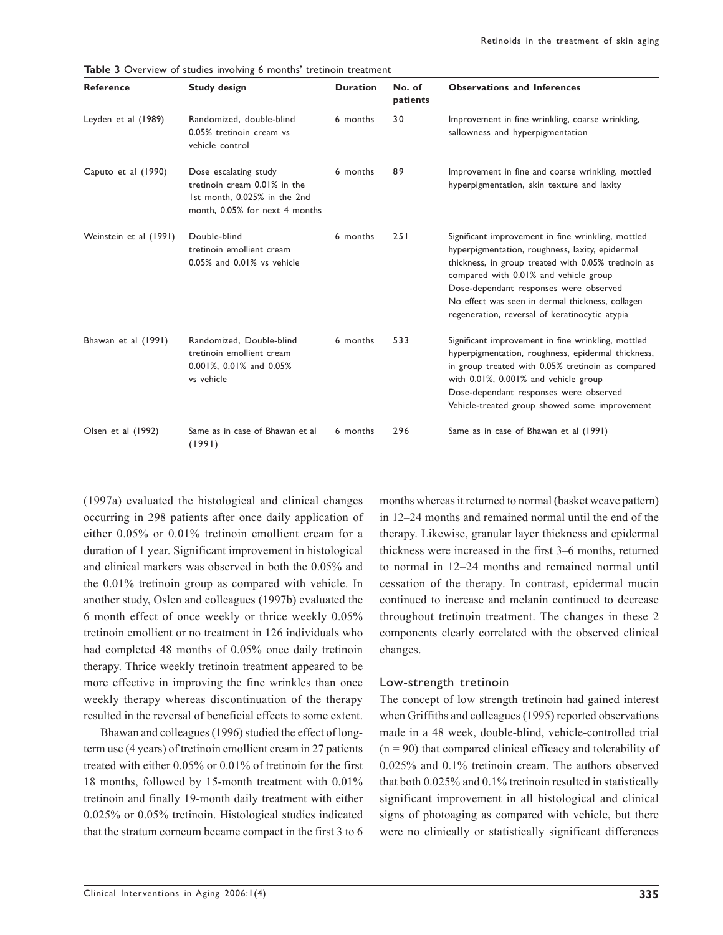| <b>Reference</b>       | <b>Study design</b>                                                                                                     | <b>Duration</b> | No. of<br>patients | <b>Observations and Inferences</b>                                                                                                                                                                                                                                                                                                                    |
|------------------------|-------------------------------------------------------------------------------------------------------------------------|-----------------|--------------------|-------------------------------------------------------------------------------------------------------------------------------------------------------------------------------------------------------------------------------------------------------------------------------------------------------------------------------------------------------|
| Leyden et al (1989)    | Randomized, double-blind<br>0.05% tretinoin cream vs<br>vehicle control                                                 | 6 months        | 30                 | Improvement in fine wrinkling, coarse wrinkling,<br>sallowness and hyperpigmentation                                                                                                                                                                                                                                                                  |
| Caputo et al (1990)    | Dose escalating study<br>tretinoin cream 0.01% in the<br>1st month, 0.025% in the 2nd<br>month, 0.05% for next 4 months | 6 months        | 89                 | Improvement in fine and coarse wrinkling, mottled<br>hyperpigmentation, skin texture and laxity                                                                                                                                                                                                                                                       |
| Weinstein et al (1991) | Double-blind<br>tretinoin emollient cream<br>0.05% and 0.01% vs vehicle                                                 | 6 months        | 251                | Significant improvement in fine wrinkling, mottled<br>hyperpigmentation, roughness, laxity, epidermal<br>thickness, in group treated with 0.05% tretinoin as<br>compared with 0.01% and vehicle group<br>Dose-dependant responses were observed<br>No effect was seen in dermal thickness, collagen<br>regeneration, reversal of keratinocytic atypia |
| Bhawan et al (1991)    | Randomized, Double-blind<br>tretinoin emollient cream<br>0.001%, 0.01% and 0.05%<br>vs vehicle                          | 6 months        | 533                | Significant improvement in fine wrinkling, mottled<br>hyperpigmentation, roughness, epidermal thickness,<br>in group treated with 0.05% tretinoin as compared<br>with 0.01%, 0.001% and vehicle group<br>Dose-dependant responses were observed<br>Vehicle-treated group showed some improvement                                                      |
| Olsen et al (1992)     | Same as in case of Bhawan et al<br>(1991)                                                                               | 6 months        | 296                | Same as in case of Bhawan et al (1991)                                                                                                                                                                                                                                                                                                                |

Table 3 Overview of studies involving 6 months' tretinoin treatment

(1997a) evaluated the histological and clinical changes occurring in 298 patients after once daily application of either 0.05% or 0.01% tretinoin emollient cream for a duration of 1 year. Significant improvement in histological and clinical markers was observed in both the 0.05% and the 0.01% tretinoin group as compared with vehicle. In another study, Oslen and colleagues (1997b) evaluated the 6 month effect of once weekly or thrice weekly 0.05% tretinoin emollient or no treatment in 126 individuals who had completed 48 months of 0.05% once daily tretinoin therapy. Thrice weekly tretinoin treatment appeared to be more effective in improving the fine wrinkles than once weekly therapy whereas discontinuation of the therapy resulted in the reversal of beneficial effects to some extent.

Bhawan and colleagues (1996) studied the effect of longterm use (4 years) of tretinoin emollient cream in 27 patients treated with either 0.05% or 0.01% of tretinoin for the first 18 months, followed by 15-month treatment with 0.01% tretinoin and finally 19-month daily treatment with either 0.025% or 0.05% tretinoin. Histological studies indicated that the stratum corneum became compact in the first 3 to 6 months whereas it returned to normal (basket weave pattern) in 12–24 months and remained normal until the end of the therapy. Likewise, granular layer thickness and epidermal thickness were increased in the first 3–6 months, returned to normal in 12–24 months and remained normal until cessation of the therapy. In contrast, epidermal mucin continued to increase and melanin continued to decrease throughout tretinoin treatment. The changes in these 2 components clearly correlated with the observed clinical changes.

#### Low-strength tretinoin

The concept of low strength tretinoin had gained interest when Griffiths and colleagues (1995) reported observations made in a 48 week, double-blind, vehicle-controlled trial  $(n = 90)$  that compared clinical efficacy and tolerability of 0.025% and 0.1% tretinoin cream. The authors observed that both 0.025% and 0.1% tretinoin resulted in statistically significant improvement in all histological and clinical signs of photoaging as compared with vehicle, but there were no clinically or statistically significant differences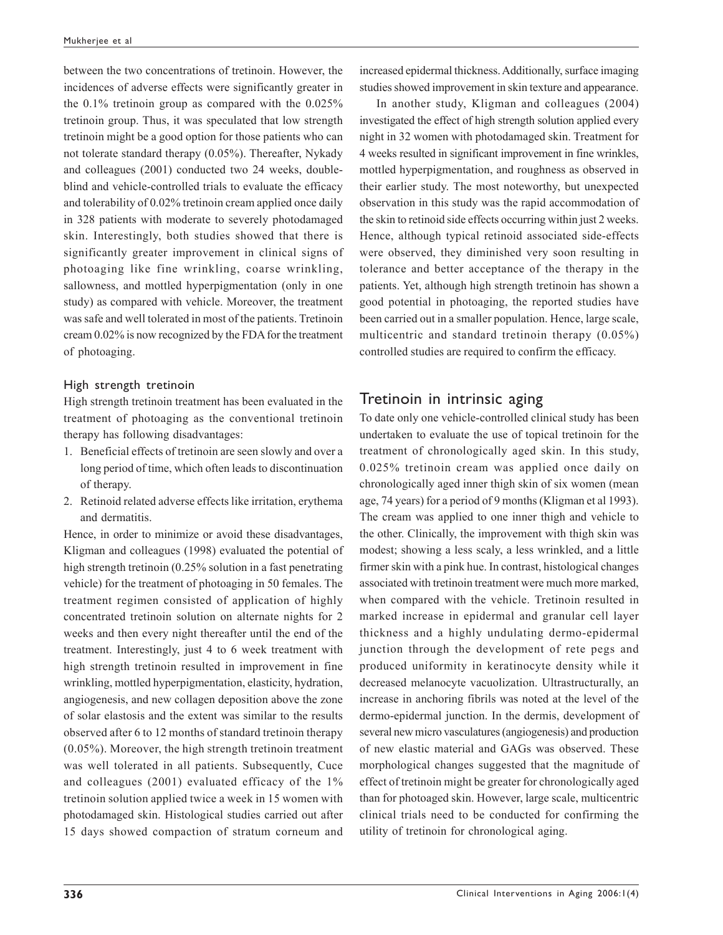between the two concentrations of tretinoin. However, the incidences of adverse effects were significantly greater in the 0.1% tretinoin group as compared with the 0.025% tretinoin group. Thus, it was speculated that low strength tretinoin might be a good option for those patients who can not tolerate standard therapy (0.05%). Thereafter, Nykady and colleagues (2001) conducted two 24 weeks, doubleblind and vehicle-controlled trials to evaluate the efficacy and tolerability of 0.02% tretinoin cream applied once daily in 328 patients with moderate to severely photodamaged skin. Interestingly, both studies showed that there is significantly greater improvement in clinical signs of photoaging like fine wrinkling, coarse wrinkling, sallowness, and mottled hyperpigmentation (only in one study) as compared with vehicle. Moreover, the treatment was safe and well tolerated in most of the patients. Tretinoin cream 0.02% is now recognized by the FDA for the treatment of photoaging.

#### High strength tretinoin

High strength tretinoin treatment has been evaluated in the treatment of photoaging as the conventional tretinoin therapy has following disadvantages:

- 1. Beneficial effects of tretinoin are seen slowly and over a long period of time, which often leads to discontinuation of therapy.
- 2. Retinoid related adverse effects like irritation, erythema and dermatitis.

Hence, in order to minimize or avoid these disadvantages, Kligman and colleagues (1998) evaluated the potential of high strength tretinoin (0.25% solution in a fast penetrating vehicle) for the treatment of photoaging in 50 females. The treatment regimen consisted of application of highly concentrated tretinoin solution on alternate nights for 2 weeks and then every night thereafter until the end of the treatment. Interestingly, just 4 to 6 week treatment with high strength tretinoin resulted in improvement in fine wrinkling, mottled hyperpigmentation, elasticity, hydration, angiogenesis, and new collagen deposition above the zone of solar elastosis and the extent was similar to the results observed after 6 to 12 months of standard tretinoin therapy (0.05%). Moreover, the high strength tretinoin treatment was well tolerated in all patients. Subsequently, Cuce and colleagues (2001) evaluated efficacy of the 1% tretinoin solution applied twice a week in 15 women with photodamaged skin. Histological studies carried out after 15 days showed compaction of stratum corneum and

increased epidermal thickness. Additionally, surface imaging studies showed improvement in skin texture and appearance.

In another study, Kligman and colleagues (2004) investigated the effect of high strength solution applied every night in 32 women with photodamaged skin. Treatment for 4 weeks resulted in significant improvement in fine wrinkles, mottled hyperpigmentation, and roughness as observed in their earlier study. The most noteworthy, but unexpected observation in this study was the rapid accommodation of the skin to retinoid side effects occurring within just 2 weeks. Hence, although typical retinoid associated side-effects were observed, they diminished very soon resulting in tolerance and better acceptance of the therapy in the patients. Yet, although high strength tretinoin has shown a good potential in photoaging, the reported studies have been carried out in a smaller population. Hence, large scale, multicentric and standard tretinoin therapy (0.05%) controlled studies are required to confirm the efficacy.

#### Tretinoin in intrinsic aging

To date only one vehicle-controlled clinical study has been undertaken to evaluate the use of topical tretinoin for the treatment of chronologically aged skin. In this study, 0.025% tretinoin cream was applied once daily on chronologically aged inner thigh skin of six women (mean age, 74 years) for a period of 9 months (Kligman et al 1993). The cream was applied to one inner thigh and vehicle to the other. Clinically, the improvement with thigh skin was modest; showing a less scaly, a less wrinkled, and a little firmer skin with a pink hue. In contrast, histological changes associated with tretinoin treatment were much more marked, when compared with the vehicle. Tretinoin resulted in marked increase in epidermal and granular cell layer thickness and a highly undulating dermo-epidermal junction through the development of rete pegs and produced uniformity in keratinocyte density while it decreased melanocyte vacuolization. Ultrastructurally, an increase in anchoring fibrils was noted at the level of the dermo-epidermal junction. In the dermis, development of several new micro vasculatures (angiogenesis) and production of new elastic material and GAGs was observed. These morphological changes suggested that the magnitude of effect of tretinoin might be greater for chronologically aged than for photoaged skin. However, large scale, multicentric clinical trials need to be conducted for confirming the utility of tretinoin for chronological aging.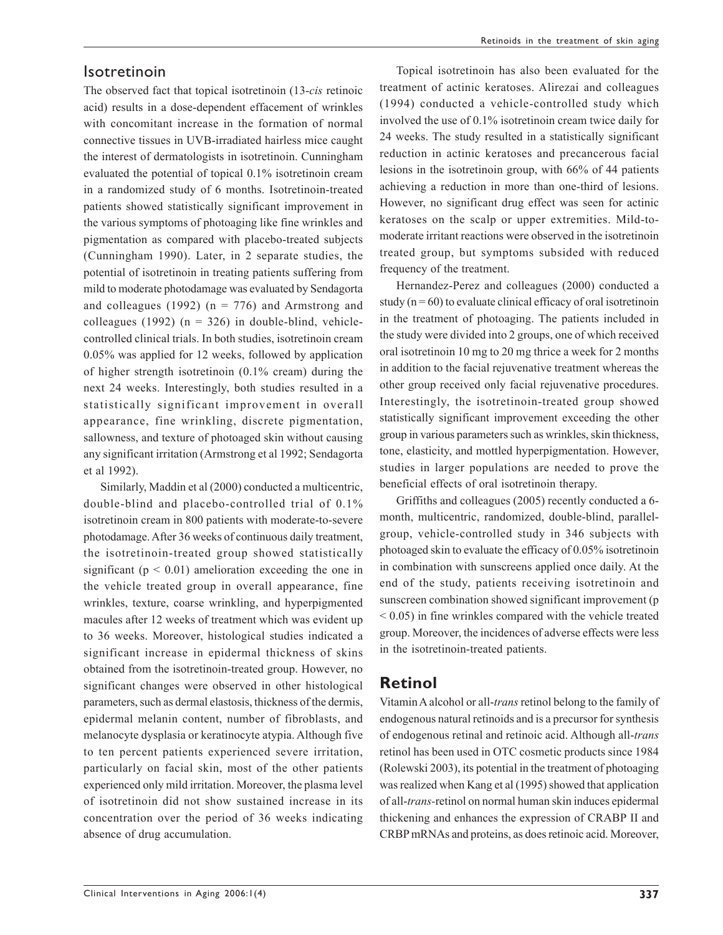#### Isotretinoin

The observed fact that topical isotretinoin (13-*cis* retinoic acid) results in a dose-dependent effacement of wrinkles with concomitant increase in the formation of normal connective tissues in UVB-irradiated hairless mice caught the interest of dermatologists in isotretinoin. Cunningham evaluated the potential of topical 0.1% isotretinoin cream in a randomized study of 6 months. Isotretinoin-treated patients showed statistically significant improvement in the various symptoms of photoaging like fine wrinkles and pigmentation as compared with placebo-treated subjects (Cunningham 1990). Later, in 2 separate studies, the potential of isotretinoin in treating patients suffering from mild to moderate photodamage was evaluated by Sendagorta and colleagues (1992) ( $n = 776$ ) and Armstrong and colleagues (1992) ( $n = 326$ ) in double-blind, vehiclecontrolled clinical trials. In both studies, isotretinoin cream 0.05% was applied for 12 weeks, followed by application of higher strength isotretinoin (0.1% cream) during the next 24 weeks. Interestingly, both studies resulted in a statistically significant improvement in overall appearance, fine wrinkling, discrete pigmentation, sallowness, and texture of photoaged skin without causing any significant irritation (Armstrong et al 1992; Sendagorta et al 1992).

Similarly, Maddin et al (2000) conducted a multicentric, double-blind and placebo-controlled trial of 0.1% isotretinoin cream in 800 patients with moderate-to-severe photodamage. After 36 weeks of continuous daily treatment, the isotretinoin-treated group showed statistically significant ( $p < 0.01$ ) amelioration exceeding the one in the vehicle treated group in overall appearance, fine wrinkles, texture, coarse wrinkling, and hyperpigmented macules after 12 weeks of treatment which was evident up to 36 weeks. Moreover, histological studies indicated a significant increase in epidermal thickness of skins obtained from the isotretinoin-treated group. However, no significant changes were observed in other histological parameters, such as dermal elastosis, thickness of the dermis, epidermal melanin content, number of fibroblasts, and melanocyte dysplasia or keratinocyte atypia. Although five to ten percent patients experienced severe irritation, particularly on facial skin, most of the other patients experienced only mild irritation. Moreover, the plasma level of isotretinoin did not show sustained increase in its concentration over the period of 36 weeks indicating absence of drug accumulation.

Topical isotretinoin has also been evaluated for the treatment of actinic keratoses. Alirezai and colleagues (1994) conducted a vehicle-controlled study which involved the use of 0.1% isotretinoin cream twice daily for 24 weeks. The study resulted in a statistically significant reduction in actinic keratoses and precancerous facial lesions in the isotretinoin group, with 66% of 44 patients achieving a reduction in more than one-third of lesions. However, no significant drug effect was seen for actinic keratoses on the scalp or upper extremities. Mild-tomoderate irritant reactions were observed in the isotretinoin treated group, but symptoms subsided with reduced frequency of the treatment.

Hernandez-Perez and colleagues (2000) conducted a study ( $n = 60$ ) to evaluate clinical efficacy of oral isotretinoin in the treatment of photoaging. The patients included in the study were divided into 2 groups, one of which received oral isotretinoin 10 mg to 20 mg thrice a week for 2 months in addition to the facial rejuvenative treatment whereas the other group received only facial rejuvenative procedures. Interestingly, the isotretinoin-treated group showed statistically significant improvement exceeding the other group in various parameters such as wrinkles, skin thickness, tone, elasticity, and mottled hyperpigmentation. However, studies in larger populations are needed to prove the beneficial effects of oral isotretinoin therapy.

Griffiths and colleagues (2005) recently conducted a 6 month, multicentric, randomized, double-blind, parallelgroup, vehicle-controlled study in 346 subjects with photoaged skin to evaluate the efficacy of 0.05% isotretinoin in combination with sunscreens applied once daily. At the end of the study, patients receiving isotretinoin and sunscreen combination showed significant improvement (p < 0.05) in fine wrinkles compared with the vehicle treated group. Moreover, the incidences of adverse effects were less in the isotretinoin-treated patients.

### **Retinol**

Vitamin A alcohol or all-*trans* retinol belong to the family of endogenous natural retinoids and is a precursor for synthesis of endogenous retinal and retinoic acid. Although all-*trans* retinol has been used in OTC cosmetic products since 1984 (Rolewski 2003), its potential in the treatment of photoaging was realized when Kang et al (1995) showed that application of all-*trans-*retinol on normal human skin induces epidermal thickening and enhances the expression of CRABP II and CRBP mRNAs and proteins, as does retinoic acid. Moreover,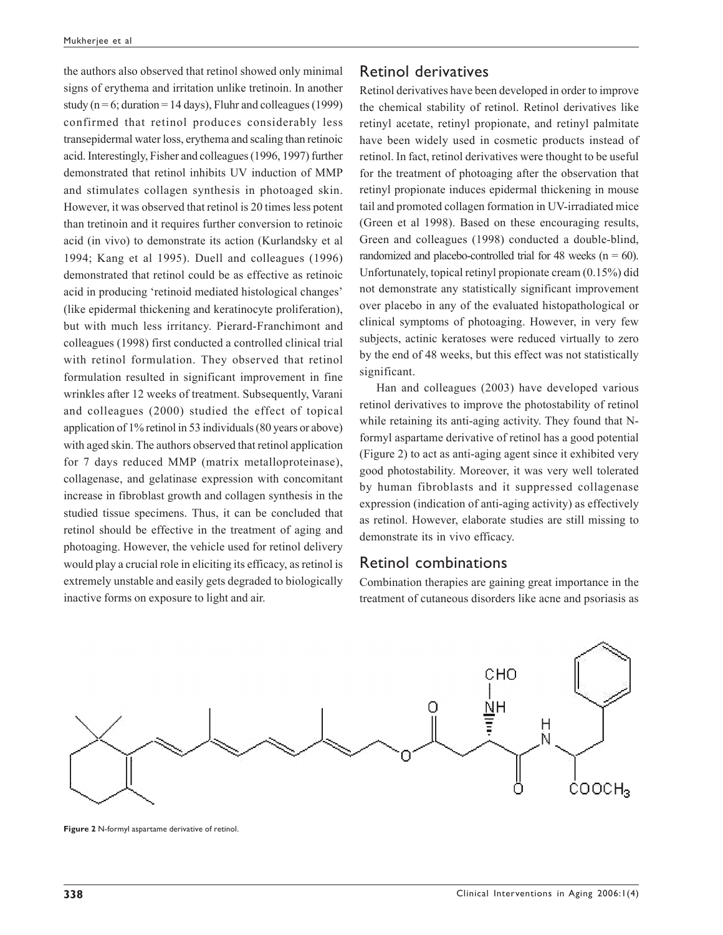the authors also observed that retinol showed only minimal signs of erythema and irritation unlike tretinoin. In another study ( $n = 6$ ; duration = 14 days), Fluhr and colleagues (1999) confirmed that retinol produces considerably less transepidermal water loss, erythema and scaling than retinoic acid. Interestingly, Fisher and colleagues (1996, 1997) further demonstrated that retinol inhibits UV induction of MMP and stimulates collagen synthesis in photoaged skin. However, it was observed that retinol is 20 times less potent than tretinoin and it requires further conversion to retinoic acid (in vivo) to demonstrate its action (Kurlandsky et al 1994; Kang et al 1995). Duell and colleagues (1996) demonstrated that retinol could be as effective as retinoic acid in producing 'retinoid mediated histological changes' (like epidermal thickening and keratinocyte proliferation), but with much less irritancy. Pierard-Franchimont and colleagues (1998) first conducted a controlled clinical trial with retinol formulation. They observed that retinol formulation resulted in significant improvement in fine wrinkles after 12 weeks of treatment. Subsequently, Varani and colleagues (2000) studied the effect of topical application of 1% retinol in 53 individuals (80 years or above) with aged skin. The authors observed that retinol application for 7 days reduced MMP (matrix metalloproteinase), collagenase, and gelatinase expression with concomitant increase in fibroblast growth and collagen synthesis in the studied tissue specimens. Thus, it can be concluded that retinol should be effective in the treatment of aging and photoaging. However, the vehicle used for retinol delivery would play a crucial role in eliciting its efficacy, as retinol is extremely unstable and easily gets degraded to biologically inactive forms on exposure to light and air.

#### Retinol derivatives

Retinol derivatives have been developed in order to improve the chemical stability of retinol. Retinol derivatives like retinyl acetate, retinyl propionate, and retinyl palmitate have been widely used in cosmetic products instead of retinol. In fact, retinol derivatives were thought to be useful for the treatment of photoaging after the observation that retinyl propionate induces epidermal thickening in mouse tail and promoted collagen formation in UV-irradiated mice (Green et al 1998). Based on these encouraging results, Green and colleagues (1998) conducted a double-blind, randomized and placebo-controlled trial for 48 weeks ( $n = 60$ ). Unfortunately, topical retinyl propionate cream (0.15%) did not demonstrate any statistically significant improvement over placebo in any of the evaluated histopathological or clinical symptoms of photoaging. However, in very few subjects, actinic keratoses were reduced virtually to zero by the end of 48 weeks, but this effect was not statistically significant.

Han and colleagues (2003) have developed various retinol derivatives to improve the photostability of retinol while retaining its anti-aging activity. They found that Nformyl aspartame derivative of retinol has a good potential (Figure 2) to act as anti-aging agent since it exhibited very good photostability. Moreover, it was very well tolerated by human fibroblasts and it suppressed collagenase expression (indication of anti-aging activity) as effectively as retinol. However, elaborate studies are still missing to demonstrate its in vivo efficacy.

#### Retinol combinations

Combination therapies are gaining great importance in the treatment of cutaneous disorders like acne and psoriasis as



**Figure 2** N-formyl aspartame derivative of retinol.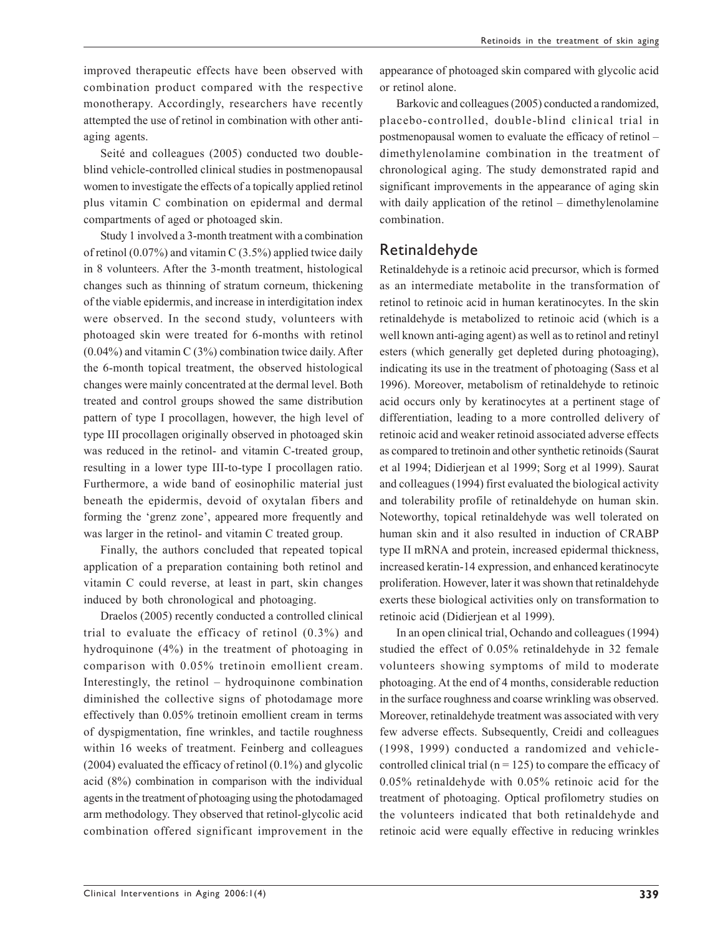improved therapeutic effects have been observed with combination product compared with the respective monotherapy. Accordingly, researchers have recently attempted the use of retinol in combination with other antiaging agents.

Seité and colleagues (2005) conducted two doubleblind vehicle-controlled clinical studies in postmenopausal women to investigate the effects of a topically applied retinol plus vitamin C combination on epidermal and dermal compartments of aged or photoaged skin.

Study 1 involved a 3-month treatment with a combination of retinol  $(0.07\%)$  and vitamin C  $(3.5\%)$  applied twice daily in 8 volunteers. After the 3-month treatment, histological changes such as thinning of stratum corneum, thickening of the viable epidermis, and increase in interdigitation index were observed. In the second study, volunteers with photoaged skin were treated for 6-months with retinol  $(0.04\%)$  and vitamin C (3%) combination twice daily. After the 6-month topical treatment, the observed histological changes were mainly concentrated at the dermal level. Both treated and control groups showed the same distribution pattern of type I procollagen, however, the high level of type III procollagen originally observed in photoaged skin was reduced in the retinol- and vitamin C-treated group, resulting in a lower type III-to-type I procollagen ratio. Furthermore, a wide band of eosinophilic material just beneath the epidermis, devoid of oxytalan fibers and forming the 'grenz zone', appeared more frequently and was larger in the retinol- and vitamin C treated group.

Finally, the authors concluded that repeated topical application of a preparation containing both retinol and vitamin C could reverse, at least in part, skin changes induced by both chronological and photoaging.

Draelos (2005) recently conducted a controlled clinical trial to evaluate the efficacy of retinol (0.3%) and hydroquinone (4%) in the treatment of photoaging in comparison with 0.05% tretinoin emollient cream. Interestingly, the retinol – hydroquinone combination diminished the collective signs of photodamage more effectively than 0.05% tretinoin emollient cream in terms of dyspigmentation, fine wrinkles, and tactile roughness within 16 weeks of treatment. Feinberg and colleagues (2004) evaluated the efficacy of retinol (0.1%) and glycolic acid (8%) combination in comparison with the individual agents in the treatment of photoaging using the photodamaged arm methodology. They observed that retinol-glycolic acid combination offered significant improvement in the appearance of photoaged skin compared with glycolic acid or retinol alone.

Barkovic and colleagues (2005) conducted a randomized, placebo-controlled, double-blind clinical trial in postmenopausal women to evaluate the efficacy of retinol – dimethylenolamine combination in the treatment of chronological aging. The study demonstrated rapid and significant improvements in the appearance of aging skin with daily application of the retinol – dimethylenolamine combination.

#### Retinaldehyde

Retinaldehyde is a retinoic acid precursor, which is formed as an intermediate metabolite in the transformation of retinol to retinoic acid in human keratinocytes. In the skin retinaldehyde is metabolized to retinoic acid (which is a well known anti-aging agent) as well as to retinol and retinyl esters (which generally get depleted during photoaging), indicating its use in the treatment of photoaging (Sass et al 1996). Moreover, metabolism of retinaldehyde to retinoic acid occurs only by keratinocytes at a pertinent stage of differentiation, leading to a more controlled delivery of retinoic acid and weaker retinoid associated adverse effects as compared to tretinoin and other synthetic retinoids (Saurat et al 1994; Didierjean et al 1999; Sorg et al 1999). Saurat and colleagues (1994) first evaluated the biological activity and tolerability profile of retinaldehyde on human skin. Noteworthy, topical retinaldehyde was well tolerated on human skin and it also resulted in induction of CRABP type II mRNA and protein, increased epidermal thickness, increased keratin-14 expression, and enhanced keratinocyte proliferation. However, later it was shown that retinaldehyde exerts these biological activities only on transformation to retinoic acid (Didierjean et al 1999).

In an open clinical trial, Ochando and colleagues (1994) studied the effect of 0.05% retinaldehyde in 32 female volunteers showing symptoms of mild to moderate photoaging. At the end of 4 months, considerable reduction in the surface roughness and coarse wrinkling was observed. Moreover, retinaldehyde treatment was associated with very few adverse effects. Subsequently, Creidi and colleagues (1998, 1999) conducted a randomized and vehiclecontrolled clinical trial ( $n = 125$ ) to compare the efficacy of 0.05% retinaldehyde with 0.05% retinoic acid for the treatment of photoaging. Optical profilometry studies on the volunteers indicated that both retinaldehyde and retinoic acid were equally effective in reducing wrinkles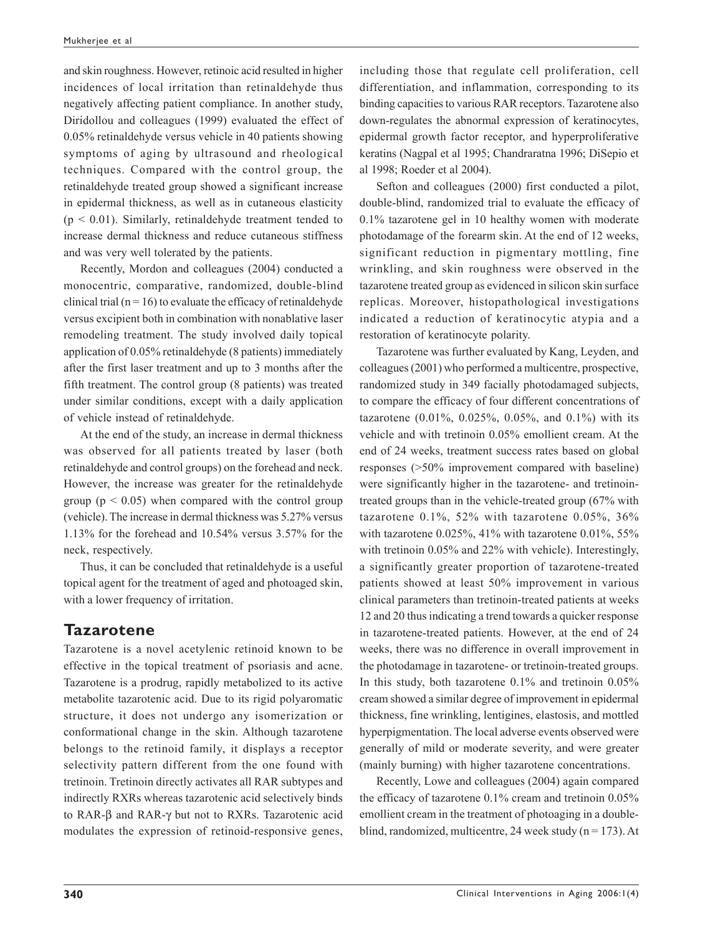and skin roughness. However, retinoic acid resulted in higher incidences of local irritation than retinaldehyde thus negatively affecting patient compliance. In another study, Diridollou and colleagues (1999) evaluated the effect of 0.05% retinaldehyde versus vehicle in 40 patients showing symptoms of aging by ultrasound and rheological techniques. Compared with the control group, the retinaldehyde treated group showed a significant increase in epidermal thickness, as well as in cutaneous elasticity  $(p < 0.01)$ . Similarly, retinaldehyde treatment tended to increase dermal thickness and reduce cutaneous stiffness and was very well tolerated by the patients.

Recently, Mordon and colleagues (2004) conducted a monocentric, comparative, randomized, double-blind clinical trial ( $n = 16$ ) to evaluate the efficacy of retinaldehyde versus excipient both in combination with nonablative laser remodeling treatment. The study involved daily topical application of 0.05% retinaldehyde (8 patients) immediately after the first laser treatment and up to 3 months after the fifth treatment. The control group (8 patients) was treated under similar conditions, except with a daily application of vehicle instead of retinaldehyde.

At the end of the study, an increase in dermal thickness was observed for all patients treated by laser (both retinaldehyde and control groups) on the forehead and neck. However, the increase was greater for the retinaldehyde group ( $p < 0.05$ ) when compared with the control group (vehicle). The increase in dermal thickness was 5.27% versus 1.13% for the forehead and 10.54% versus 3.57% for the neck, respectively.

Thus, it can be concluded that retinaldehyde is a useful topical agent for the treatment of aged and photoaged skin, with a lower frequency of irritation.

#### **Tazarotene**

Tazarotene is a novel acetylenic retinoid known to be effective in the topical treatment of psoriasis and acne. Tazarotene is a prodrug, rapidly metabolized to its active metabolite tazarotenic acid. Due to its rigid polyaromatic structure, it does not undergo any isomerization or conformational change in the skin. Although tazarotene belongs to the retinoid family, it displays a receptor selectivity pattern different from the one found with tretinoin. Tretinoin directly activates all RAR subtypes and indirectly RXRs whereas tazarotenic acid selectively binds to RAR-β and RAR-γ but not to RXRs. Tazarotenic acid modulates the expression of retinoid-responsive genes, including those that regulate cell proliferation, cell differentiation, and inflammation, corresponding to its binding capacities to various RAR receptors. Tazarotene also down-regulates the abnormal expression of keratinocytes, epidermal growth factor receptor, and hyperproliferative keratins (Nagpal et al 1995; Chandraratna 1996; DiSepio et al 1998; Roeder et al 2004).

Sefton and colleagues (2000) first conducted a pilot, double-blind, randomized trial to evaluate the efficacy of 0.1% tazarotene gel in 10 healthy women with moderate photodamage of the forearm skin. At the end of 12 weeks, significant reduction in pigmentary mottling, fine wrinkling, and skin roughness were observed in the tazarotene treated group as evidenced in silicon skin surface replicas. Moreover, histopathological investigations indicated a reduction of keratinocytic atypia and a restoration of keratinocyte polarity.

Tazarotene was further evaluated by Kang, Leyden, and colleagues (2001) who performed a multicentre, prospective, randomized study in 349 facially photodamaged subjects, to compare the efficacy of four different concentrations of tazarotene (0.01%, 0.025%, 0.05%, and 0.1%) with its vehicle and with tretinoin 0.05% emollient cream. At the end of 24 weeks, treatment success rates based on global responses (>50% improvement compared with baseline) were significantly higher in the tazarotene- and tretinointreated groups than in the vehicle-treated group (67% with tazarotene 0.1%, 52% with tazarotene 0.05%, 36% with tazarotene 0.025%, 41% with tazarotene 0.01%, 55% with tretinoin 0.05% and 22% with vehicle). Interestingly, a significantly greater proportion of tazarotene-treated patients showed at least 50% improvement in various clinical parameters than tretinoin-treated patients at weeks 12 and 20 thus indicating a trend towards a quicker response in tazarotene-treated patients. However, at the end of 24 weeks, there was no difference in overall improvement in the photodamage in tazarotene- or tretinoin-treated groups. In this study, both tazarotene 0.1% and tretinoin 0.05% cream showed a similar degree of improvement in epidermal thickness, fine wrinkling, lentigines, elastosis, and mottled hyperpigmentation. The local adverse events observed were generally of mild or moderate severity, and were greater (mainly burning) with higher tazarotene concentrations.

Recently, Lowe and colleagues (2004) again compared the efficacy of tazarotene 0.1% cream and tretinoin 0.05% emollient cream in the treatment of photoaging in a doubleblind, randomized, multicentre, 24 week study ( $n = 173$ ). At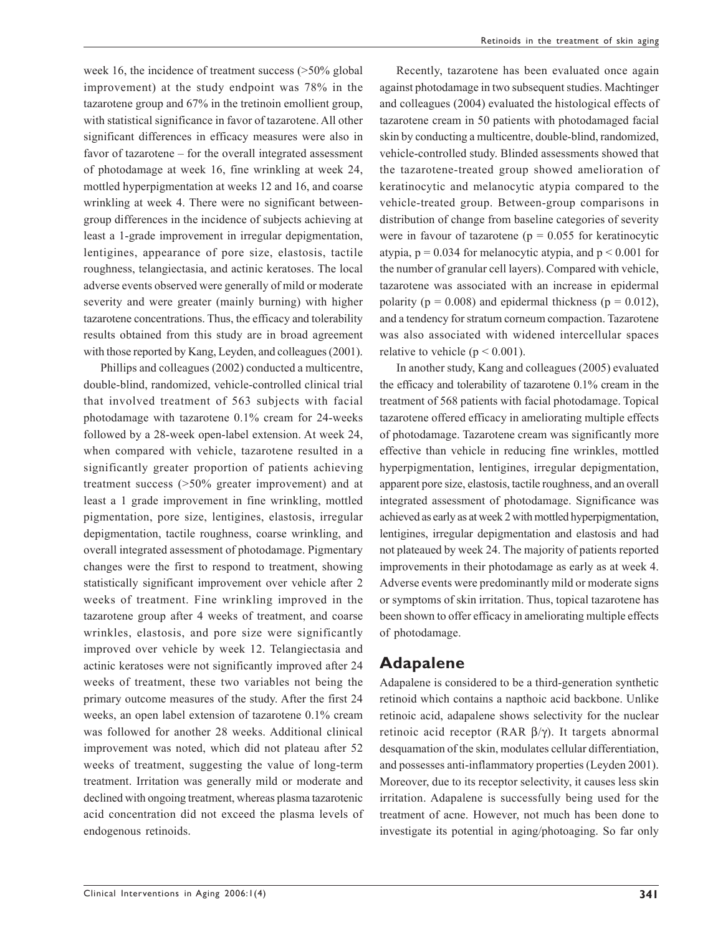week 16, the incidence of treatment success (>50% global improvement) at the study endpoint was 78% in the tazarotene group and 67% in the tretinoin emollient group, with statistical significance in favor of tazarotene. All other significant differences in efficacy measures were also in favor of tazarotene – for the overall integrated assessment of photodamage at week 16, fine wrinkling at week 24, mottled hyperpigmentation at weeks 12 and 16, and coarse wrinkling at week 4. There were no significant betweengroup differences in the incidence of subjects achieving at least a 1-grade improvement in irregular depigmentation, lentigines, appearance of pore size, elastosis, tactile roughness, telangiectasia, and actinic keratoses. The local adverse events observed were generally of mild or moderate severity and were greater (mainly burning) with higher tazarotene concentrations. Thus, the efficacy and tolerability results obtained from this study are in broad agreement with those reported by Kang, Leyden, and colleagues (2001).

Phillips and colleagues (2002) conducted a multicentre, double-blind, randomized, vehicle-controlled clinical trial that involved treatment of 563 subjects with facial photodamage with tazarotene 0.1% cream for 24-weeks followed by a 28-week open-label extension. At week 24, when compared with vehicle, tazarotene resulted in a significantly greater proportion of patients achieving treatment success (>50% greater improvement) and at least a 1 grade improvement in fine wrinkling, mottled pigmentation, pore size, lentigines, elastosis, irregular depigmentation, tactile roughness, coarse wrinkling, and overall integrated assessment of photodamage. Pigmentary changes were the first to respond to treatment, showing statistically significant improvement over vehicle after 2 weeks of treatment. Fine wrinkling improved in the tazarotene group after 4 weeks of treatment, and coarse wrinkles, elastosis, and pore size were significantly improved over vehicle by week 12. Telangiectasia and actinic keratoses were not significantly improved after 24 weeks of treatment, these two variables not being the primary outcome measures of the study. After the first 24 weeks, an open label extension of tazarotene 0.1% cream was followed for another 28 weeks. Additional clinical improvement was noted, which did not plateau after 52 weeks of treatment, suggesting the value of long-term treatment. Irritation was generally mild or moderate and declined with ongoing treatment, whereas plasma tazarotenic acid concentration did not exceed the plasma levels of endogenous retinoids.

Recently, tazarotene has been evaluated once again against photodamage in two subsequent studies. Machtinger and colleagues (2004) evaluated the histological effects of tazarotene cream in 50 patients with photodamaged facial skin by conducting a multicentre, double-blind, randomized, vehicle-controlled study. Blinded assessments showed that the tazarotene-treated group showed amelioration of keratinocytic and melanocytic atypia compared to the vehicle-treated group. Between-group comparisons in distribution of change from baseline categories of severity were in favour of tazarotene ( $p = 0.055$  for keratinocytic atypia,  $p = 0.034$  for melanocytic atypia, and  $p < 0.001$  for the number of granular cell layers). Compared with vehicle, tazarotene was associated with an increase in epidermal polarity ( $p = 0.008$ ) and epidermal thickness ( $p = 0.012$ ), and a tendency for stratum corneum compaction. Tazarotene was also associated with widened intercellular spaces relative to vehicle ( $p < 0.001$ ).

In another study, Kang and colleagues (2005) evaluated the efficacy and tolerability of tazarotene 0.1% cream in the treatment of 568 patients with facial photodamage. Topical tazarotene offered efficacy in ameliorating multiple effects of photodamage. Tazarotene cream was significantly more effective than vehicle in reducing fine wrinkles, mottled hyperpigmentation, lentigines, irregular depigmentation, apparent pore size, elastosis, tactile roughness, and an overall integrated assessment of photodamage. Significance was achieved as early as at week 2 with mottled hyperpigmentation, lentigines, irregular depigmentation and elastosis and had not plateaued by week 24. The majority of patients reported improvements in their photodamage as early as at week 4. Adverse events were predominantly mild or moderate signs or symptoms of skin irritation. Thus, topical tazarotene has been shown to offer efficacy in ameliorating multiple effects of photodamage.

#### **Adapalene**

Adapalene is considered to be a third-generation synthetic retinoid which contains a napthoic acid backbone. Unlike retinoic acid, adapalene shows selectivity for the nuclear retinoic acid receptor (RAR β/γ). It targets abnormal desquamation of the skin, modulates cellular differentiation, and possesses anti-inflammatory properties (Leyden 2001). Moreover, due to its receptor selectivity, it causes less skin irritation. Adapalene is successfully being used for the treatment of acne. However, not much has been done to investigate its potential in aging/photoaging. So far only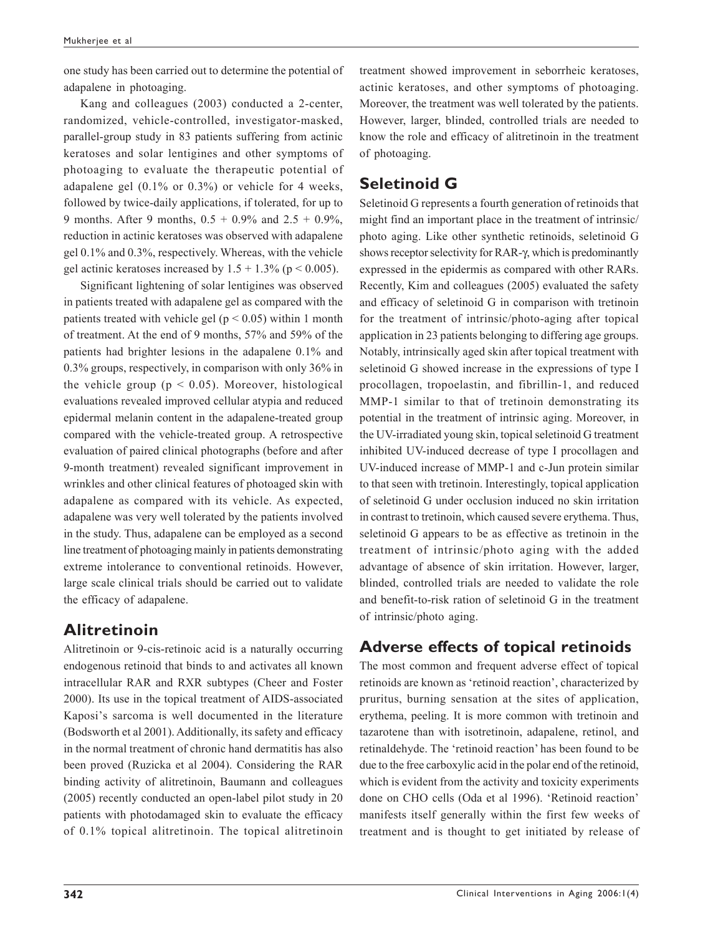one study has been carried out to determine the potential of adapalene in photoaging.

Kang and colleagues (2003) conducted a 2-center, randomized, vehicle-controlled, investigator-masked, parallel-group study in 83 patients suffering from actinic keratoses and solar lentigines and other symptoms of photoaging to evaluate the therapeutic potential of adapalene gel (0.1% or 0.3%) or vehicle for 4 weeks, followed by twice-daily applications, if tolerated, for up to 9 months. After 9 months,  $0.5 + 0.9\%$  and  $2.5 + 0.9\%$ , reduction in actinic keratoses was observed with adapalene gel 0.1% and 0.3%, respectively. Whereas, with the vehicle gel actinic keratoses increased by  $1.5 + 1.3\%$  ( $p < 0.005$ ).

Significant lightening of solar lentigines was observed in patients treated with adapalene gel as compared with the patients treated with vehicle gel ( $p < 0.05$ ) within 1 month of treatment. At the end of 9 months, 57% and 59% of the patients had brighter lesions in the adapalene 0.1% and 0.3% groups, respectively, in comparison with only 36% in the vehicle group ( $p < 0.05$ ). Moreover, histological evaluations revealed improved cellular atypia and reduced epidermal melanin content in the adapalene-treated group compared with the vehicle-treated group. A retrospective evaluation of paired clinical photographs (before and after 9-month treatment) revealed significant improvement in wrinkles and other clinical features of photoaged skin with adapalene as compared with its vehicle. As expected, adapalene was very well tolerated by the patients involved in the study. Thus, adapalene can be employed as a second line treatment of photoaging mainly in patients demonstrating extreme intolerance to conventional retinoids. However, large scale clinical trials should be carried out to validate the efficacy of adapalene.

### **Alitretinoin**

Alitretinoin or 9-cis-retinoic acid is a naturally occurring endogenous retinoid that binds to and activates all known intracellular RAR and RXR subtypes (Cheer and Foster 2000). Its use in the topical treatment of AIDS-associated Kaposi's sarcoma is well documented in the literature (Bodsworth et al 2001). Additionally, its safety and efficacy in the normal treatment of chronic hand dermatitis has also been proved (Ruzicka et al 2004). Considering the RAR binding activity of alitretinoin, Baumann and colleagues (2005) recently conducted an open-label pilot study in 20 patients with photodamaged skin to evaluate the efficacy of 0.1% topical alitretinoin. The topical alitretinoin treatment showed improvement in seborrheic keratoses, actinic keratoses, and other symptoms of photoaging. Moreover, the treatment was well tolerated by the patients. However, larger, blinded, controlled trials are needed to know the role and efficacy of alitretinoin in the treatment of photoaging.

# **Seletinoid G**

Seletinoid G represents a fourth generation of retinoids that might find an important place in the treatment of intrinsic/ photo aging. Like other synthetic retinoids, seletinoid G shows receptor selectivity for RAR-γ, which is predominantly expressed in the epidermis as compared with other RARs. Recently, Kim and colleagues (2005) evaluated the safety and efficacy of seletinoid G in comparison with tretinoin for the treatment of intrinsic/photo-aging after topical application in 23 patients belonging to differing age groups. Notably, intrinsically aged skin after topical treatment with seletinoid G showed increase in the expressions of type I procollagen, tropoelastin, and fibrillin-1, and reduced MMP-1 similar to that of tretinoin demonstrating its potential in the treatment of intrinsic aging. Moreover, in the UV-irradiated young skin, topical seletinoid G treatment inhibited UV-induced decrease of type I procollagen and UV-induced increase of MMP-1 and c-Jun protein similar to that seen with tretinoin. Interestingly, topical application of seletinoid G under occlusion induced no skin irritation in contrast to tretinoin, which caused severe erythema. Thus, seletinoid G appears to be as effective as tretinoin in the treatment of intrinsic/photo aging with the added advantage of absence of skin irritation. However, larger, blinded, controlled trials are needed to validate the role and benefit-to-risk ration of seletinoid G in the treatment of intrinsic/photo aging.

# **Adverse effects of topical retinoids**

The most common and frequent adverse effect of topical retinoids are known as 'retinoid reaction', characterized by pruritus, burning sensation at the sites of application, erythema, peeling. It is more common with tretinoin and tazarotene than with isotretinoin, adapalene, retinol, and retinaldehyde. The 'retinoid reaction' has been found to be due to the free carboxylic acid in the polar end of the retinoid, which is evident from the activity and toxicity experiments done on CHO cells (Oda et al 1996). 'Retinoid reaction' manifests itself generally within the first few weeks of treatment and is thought to get initiated by release of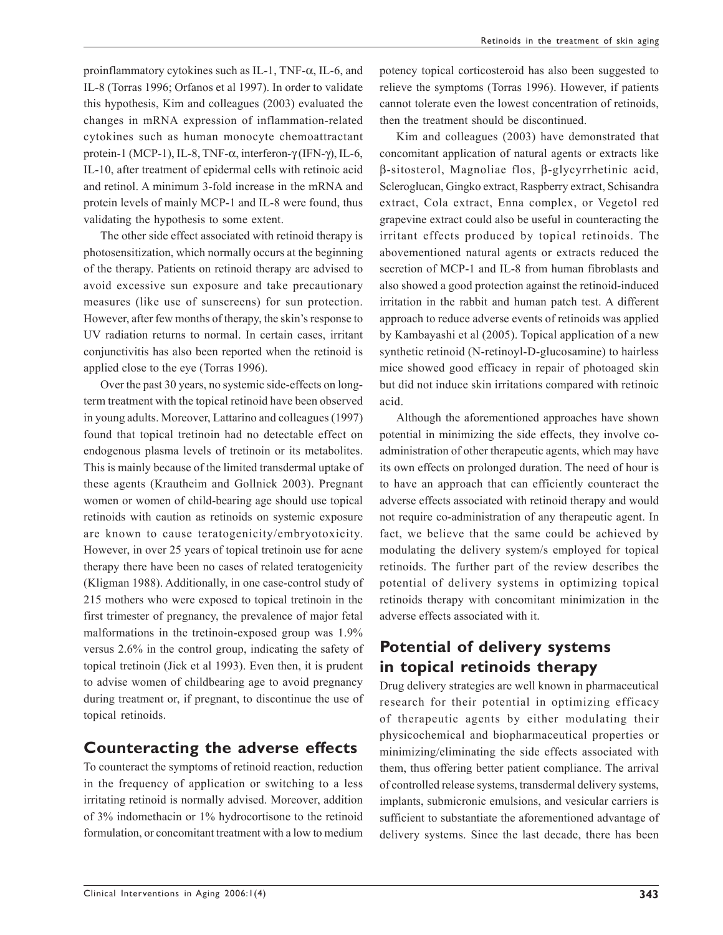proinflammatory cytokines such as IL-1, TNF-α, IL-6, and IL-8 (Torras 1996; Orfanos et al 1997). In order to validate this hypothesis, Kim and colleagues (2003) evaluated the changes in mRNA expression of inflammation-related cytokines such as human monocyte chemoattractant protein-1 (MCP-1), IL-8, TNF-α, interferon-γ (IFN-γ), IL-6, IL-10, after treatment of epidermal cells with retinoic acid and retinol. A minimum 3-fold increase in the mRNA and protein levels of mainly MCP-1 and IL-8 were found, thus validating the hypothesis to some extent.

The other side effect associated with retinoid therapy is photosensitization, which normally occurs at the beginning of the therapy. Patients on retinoid therapy are advised to avoid excessive sun exposure and take precautionary measures (like use of sunscreens) for sun protection. However, after few months of therapy, the skin's response to UV radiation returns to normal. In certain cases, irritant conjunctivitis has also been reported when the retinoid is applied close to the eye (Torras 1996).

Over the past 30 years, no systemic side-effects on longterm treatment with the topical retinoid have been observed in young adults. Moreover, Lattarino and colleagues (1997) found that topical tretinoin had no detectable effect on endogenous plasma levels of tretinoin or its metabolites. This is mainly because of the limited transdermal uptake of these agents (Krautheim and Gollnick 2003). Pregnant women or women of child-bearing age should use topical retinoids with caution as retinoids on systemic exposure are known to cause teratogenicity/embryotoxicity. However, in over 25 years of topical tretinoin use for acne therapy there have been no cases of related teratogenicity (Kligman 1988). Additionally, in one case-control study of 215 mothers who were exposed to topical tretinoin in the first trimester of pregnancy, the prevalence of major fetal malformations in the tretinoin-exposed group was 1.9% versus 2.6% in the control group, indicating the safety of topical tretinoin (Jick et al 1993). Even then, it is prudent to advise women of childbearing age to avoid pregnancy during treatment or, if pregnant, to discontinue the use of topical retinoids.

### **Counteracting the adverse effects**

To counteract the symptoms of retinoid reaction, reduction in the frequency of application or switching to a less irritating retinoid is normally advised. Moreover, addition of 3% indomethacin or 1% hydrocortisone to the retinoid formulation, or concomitant treatment with a low to medium potency topical corticosteroid has also been suggested to relieve the symptoms (Torras 1996). However, if patients cannot tolerate even the lowest concentration of retinoids, then the treatment should be discontinued.

Kim and colleagues (2003) have demonstrated that concomitant application of natural agents or extracts like β-sitosterol, Magnoliae flos, β-glycyrrhetinic acid, Scleroglucan, Gingko extract, Raspberry extract, Schisandra extract, Cola extract, Enna complex, or Vegetol red grapevine extract could also be useful in counteracting the irritant effects produced by topical retinoids. The abovementioned natural agents or extracts reduced the secretion of MCP-1 and IL-8 from human fibroblasts and also showed a good protection against the retinoid-induced irritation in the rabbit and human patch test. A different approach to reduce adverse events of retinoids was applied by Kambayashi et al (2005). Topical application of a new synthetic retinoid (N-retinoyl-D-glucosamine) to hairless mice showed good efficacy in repair of photoaged skin but did not induce skin irritations compared with retinoic acid.

Although the aforementioned approaches have shown potential in minimizing the side effects, they involve coadministration of other therapeutic agents, which may have its own effects on prolonged duration. The need of hour is to have an approach that can efficiently counteract the adverse effects associated with retinoid therapy and would not require co-administration of any therapeutic agent. In fact, we believe that the same could be achieved by modulating the delivery system/s employed for topical retinoids. The further part of the review describes the potential of delivery systems in optimizing topical retinoids therapy with concomitant minimization in the adverse effects associated with it.

### **Potential of delivery systems in topical retinoids therapy**

Drug delivery strategies are well known in pharmaceutical research for their potential in optimizing efficacy of therapeutic agents by either modulating their physicochemical and biopharmaceutical properties or minimizing/eliminating the side effects associated with them, thus offering better patient compliance. The arrival of controlled release systems, transdermal delivery systems, implants, submicronic emulsions, and vesicular carriers is sufficient to substantiate the aforementioned advantage of delivery systems. Since the last decade, there has been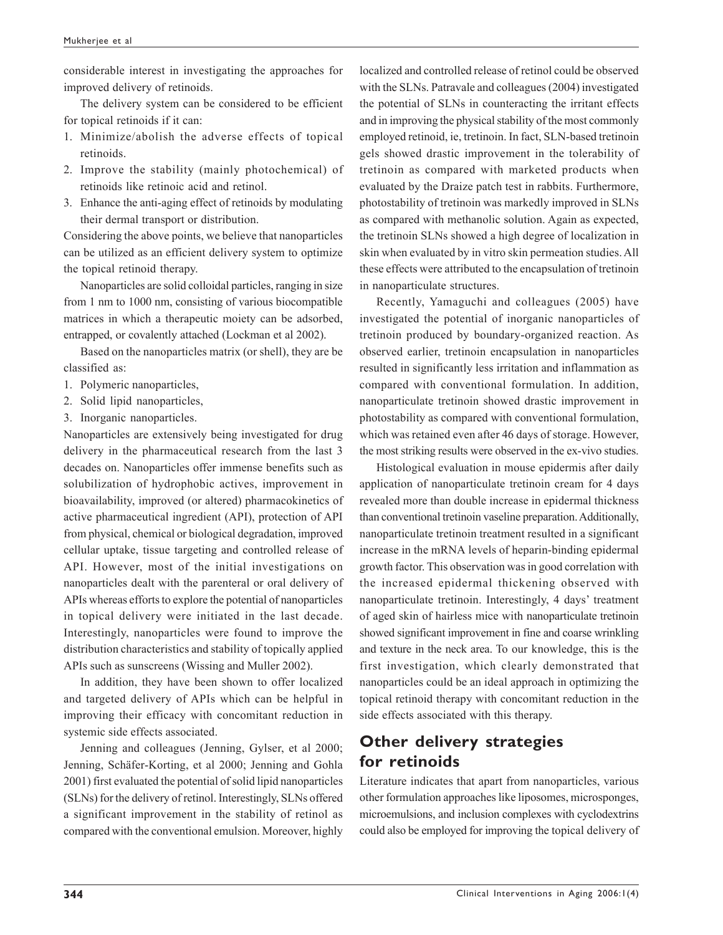considerable interest in investigating the approaches for improved delivery of retinoids.

The delivery system can be considered to be efficient for topical retinoids if it can:

- 1. Minimize/abolish the adverse effects of topical retinoids.
- 2. Improve the stability (mainly photochemical) of retinoids like retinoic acid and retinol.
- 3. Enhance the anti-aging effect of retinoids by modulating their dermal transport or distribution.

Considering the above points, we believe that nanoparticles can be utilized as an efficient delivery system to optimize the topical retinoid therapy.

Nanoparticles are solid colloidal particles, ranging in size from 1 nm to 1000 nm, consisting of various biocompatible matrices in which a therapeutic moiety can be adsorbed, entrapped, or covalently attached (Lockman et al 2002).

Based on the nanoparticles matrix (or shell), they are be classified as:

- 1. Polymeric nanoparticles,
- 2. Solid lipid nanoparticles,
- 3. Inorganic nanoparticles.

Nanoparticles are extensively being investigated for drug delivery in the pharmaceutical research from the last 3 decades on. Nanoparticles offer immense benefits such as solubilization of hydrophobic actives, improvement in bioavailability, improved (or altered) pharmacokinetics of active pharmaceutical ingredient (API), protection of API from physical, chemical or biological degradation, improved cellular uptake, tissue targeting and controlled release of API. However, most of the initial investigations on nanoparticles dealt with the parenteral or oral delivery of APIs whereas efforts to explore the potential of nanoparticles in topical delivery were initiated in the last decade. Interestingly, nanoparticles were found to improve the distribution characteristics and stability of topically applied APIs such as sunscreens (Wissing and Muller 2002).

In addition, they have been shown to offer localized and targeted delivery of APIs which can be helpful in improving their efficacy with concomitant reduction in systemic side effects associated.

Jenning and colleagues (Jenning, Gylser, et al 2000; Jenning, Schäfer-Korting, et al 2000; Jenning and Gohla 2001) first evaluated the potential of solid lipid nanoparticles (SLNs) for the delivery of retinol. Interestingly, SLNs offered a significant improvement in the stability of retinol as compared with the conventional emulsion. Moreover, highly localized and controlled release of retinol could be observed with the SLNs. Patravale and colleagues (2004) investigated the potential of SLNs in counteracting the irritant effects and in improving the physical stability of the most commonly employed retinoid, ie, tretinoin. In fact, SLN-based tretinoin gels showed drastic improvement in the tolerability of tretinoin as compared with marketed products when evaluated by the Draize patch test in rabbits. Furthermore, photostability of tretinoin was markedly improved in SLNs as compared with methanolic solution. Again as expected, the tretinoin SLNs showed a high degree of localization in skin when evaluated by in vitro skin permeation studies. All these effects were attributed to the encapsulation of tretinoin in nanoparticulate structures.

Recently, Yamaguchi and colleagues (2005) have investigated the potential of inorganic nanoparticles of tretinoin produced by boundary-organized reaction. As observed earlier, tretinoin encapsulation in nanoparticles resulted in significantly less irritation and inflammation as compared with conventional formulation. In addition, nanoparticulate tretinoin showed drastic improvement in photostability as compared with conventional formulation, which was retained even after 46 days of storage. However, the most striking results were observed in the ex-vivo studies.

Histological evaluation in mouse epidermis after daily application of nanoparticulate tretinoin cream for 4 days revealed more than double increase in epidermal thickness than conventional tretinoin vaseline preparation. Additionally, nanoparticulate tretinoin treatment resulted in a significant increase in the mRNA levels of heparin-binding epidermal growth factor. This observation was in good correlation with the increased epidermal thickening observed with nanoparticulate tretinoin. Interestingly, 4 days' treatment of aged skin of hairless mice with nanoparticulate tretinoin showed significant improvement in fine and coarse wrinkling and texture in the neck area. To our knowledge, this is the first investigation, which clearly demonstrated that nanoparticles could be an ideal approach in optimizing the topical retinoid therapy with concomitant reduction in the side effects associated with this therapy.

### **Other delivery strategies for retinoids**

Literature indicates that apart from nanoparticles, various other formulation approaches like liposomes, microsponges, microemulsions, and inclusion complexes with cyclodextrins could also be employed for improving the topical delivery of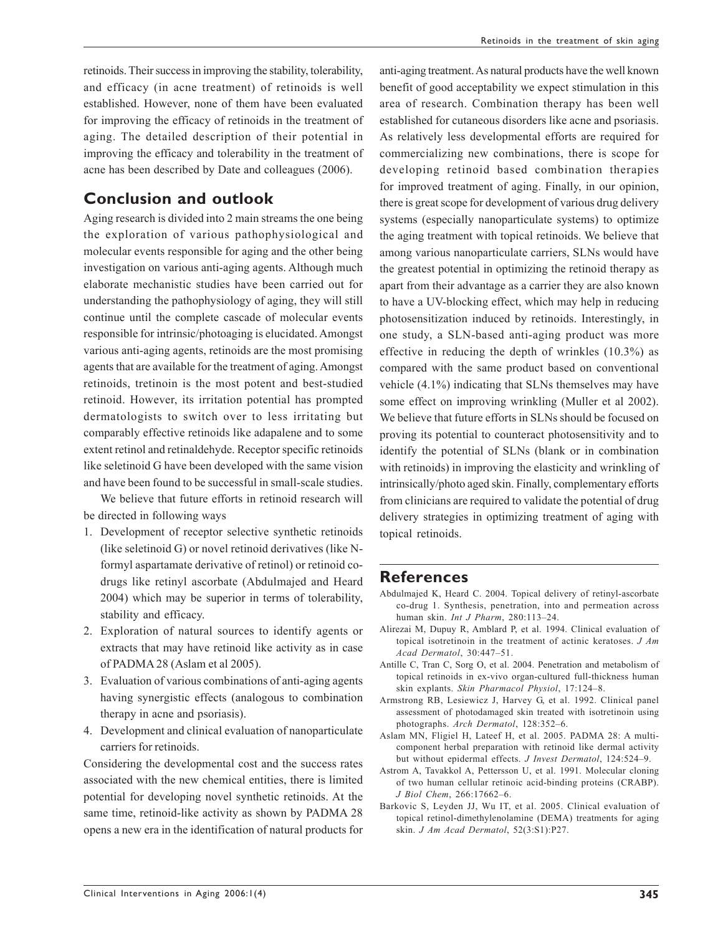retinoids. Their success in improving the stability, tolerability, and efficacy (in acne treatment) of retinoids is well established. However, none of them have been evaluated for improving the efficacy of retinoids in the treatment of aging. The detailed description of their potential in improving the efficacy and tolerability in the treatment of acne has been described by Date and colleagues (2006).

### **Conclusion and outlook**

Aging research is divided into 2 main streams the one being the exploration of various pathophysiological and molecular events responsible for aging and the other being investigation on various anti-aging agents. Although much elaborate mechanistic studies have been carried out for understanding the pathophysiology of aging, they will still continue until the complete cascade of molecular events responsible for intrinsic/photoaging is elucidated. Amongst various anti-aging agents, retinoids are the most promising agents that are available for the treatment of aging. Amongst retinoids, tretinoin is the most potent and best-studied retinoid. However, its irritation potential has prompted dermatologists to switch over to less irritating but comparably effective retinoids like adapalene and to some extent retinol and retinaldehyde. Receptor specific retinoids like seletinoid G have been developed with the same vision and have been found to be successful in small-scale studies.

We believe that future efforts in retinoid research will be directed in following ways

- 1. Development of receptor selective synthetic retinoids (like seletinoid G) or novel retinoid derivatives (like Nformyl aspartamate derivative of retinol) or retinoid codrugs like retinyl ascorbate (Abdulmajed and Heard 2004) which may be superior in terms of tolerability, stability and efficacy.
- 2. Exploration of natural sources to identify agents or extracts that may have retinoid like activity as in case of PADMA 28 (Aslam et al 2005).
- 3. Evaluation of various combinations of anti-aging agents having synergistic effects (analogous to combination therapy in acne and psoriasis).
- 4. Development and clinical evaluation of nanoparticulate carriers for retinoids.

Considering the developmental cost and the success rates associated with the new chemical entities, there is limited potential for developing novel synthetic retinoids. At the same time, retinoid-like activity as shown by PADMA 28 opens a new era in the identification of natural products for anti-aging treatment. As natural products have the well known benefit of good acceptability we expect stimulation in this area of research. Combination therapy has been well established for cutaneous disorders like acne and psoriasis. As relatively less developmental efforts are required for commercializing new combinations, there is scope for developing retinoid based combination therapies for improved treatment of aging. Finally, in our opinion, there is great scope for development of various drug delivery systems (especially nanoparticulate systems) to optimize the aging treatment with topical retinoids. We believe that among various nanoparticulate carriers, SLNs would have the greatest potential in optimizing the retinoid therapy as apart from their advantage as a carrier they are also known to have a UV-blocking effect, which may help in reducing photosensitization induced by retinoids. Interestingly, in one study, a SLN-based anti-aging product was more effective in reducing the depth of wrinkles (10.3%) as compared with the same product based on conventional vehicle (4.1%) indicating that SLNs themselves may have some effect on improving wrinkling (Muller et al 2002). We believe that future efforts in SLNs should be focused on proving its potential to counteract photosensitivity and to identify the potential of SLNs (blank or in combination with retinoids) in improving the elasticity and wrinkling of intrinsically/photo aged skin. Finally, complementary efforts from clinicians are required to validate the potential of drug delivery strategies in optimizing treatment of aging with topical retinoids.

### **References**

- Abdulmajed K, Heard C. 2004. Topical delivery of retinyl-ascorbate co-drug 1. Synthesis, penetration, into and permeation across human skin. *Int J Pharm*, 280:113–24.
- Alirezai M, Dupuy R, Amblard P, et al. 1994. Clinical evaluation of topical isotretinoin in the treatment of actinic keratoses. *J Am Acad Dermatol*, 30:447–51.
- Antille C, Tran C, Sorg O, et al. 2004. Penetration and metabolism of topical retinoids in ex-vivo organ-cultured full-thickness human skin explants. *Skin Pharmacol Physiol*, 17:124–8.
- Armstrong RB, Lesiewicz J, Harvey G, et al. 1992. Clinical panel assessment of photodamaged skin treated with isotretinoin using photographs. *Arch Dermatol*, 128:352–6.
- Aslam MN, Fligiel H, Lateef H, et al. 2005. PADMA 28: A multicomponent herbal preparation with retinoid like dermal activity but without epidermal effects. *J Invest Dermatol*, 124:524–9.
- Astrom A, Tavakkol A, Pettersson U, et al. 1991. Molecular cloning of two human cellular retinoic acid-binding proteins (CRABP). *J Biol Chem*, 266:17662–6.
- Barkovic S, Leyden JJ, Wu IT, et al. 2005. Clinical evaluation of topical retinol-dimethylenolamine (DEMA) treatments for aging skin. *J Am Acad Dermatol*, 52(3:S1):P27.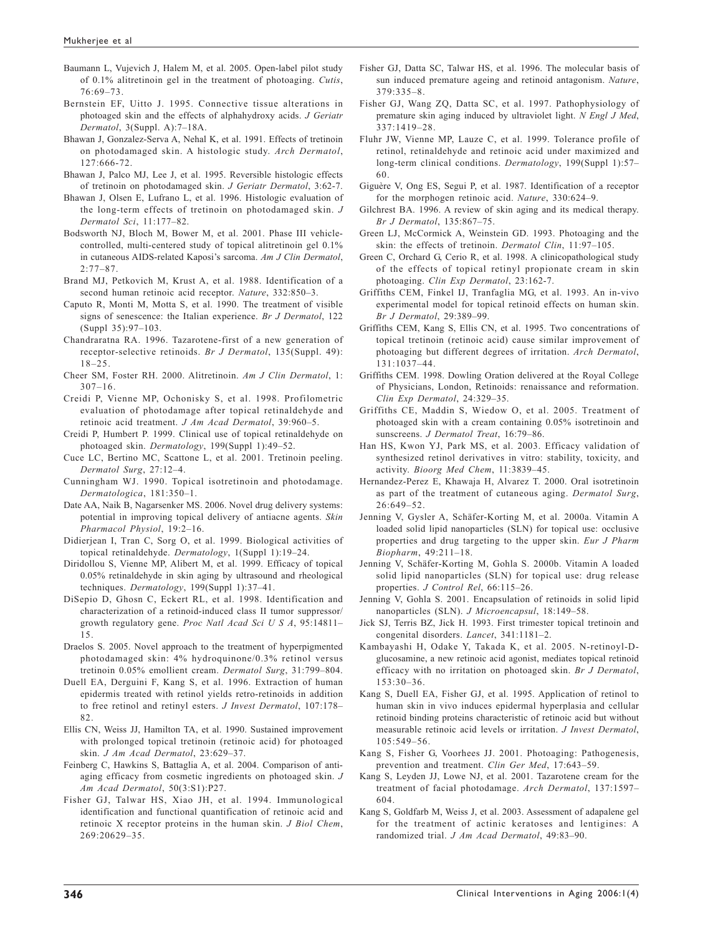Baumann L, Vujevich J, Halem M, et al. 2005. Open-label pilot study of 0.1% alitretinoin gel in the treatment of photoaging. *Cutis*, 76:69–73.

- Bernstein EF, Uitto J. 1995. Connective tissue alterations in photoaged skin and the effects of alphahydroxy acids. *J Geriatr Dermatol*, 3(Suppl. A):7–18A.
- Bhawan J, Gonzalez-Serva A, Nehal K, et al. 1991. Effects of tretinoin on photodamaged skin. A histologic study. *Arch Dermatol*, 127:666-72.
- Bhawan J, Palco MJ, Lee J, et al. 1995. Reversible histologic effects of tretinoin on photodamaged skin. *J Geriatr Dermatol*, 3:62-7.
- Bhawan J, Olsen E, Lufrano L, et al. 1996. Histologic evaluation of the long-term effects of tretinoin on photodamaged skin. *J Dermatol Sci*, 11:177–82.
- Bodsworth NJ, Bloch M, Bower M, et al. 2001. Phase III vehiclecontrolled, multi-centered study of topical alitretinoin gel 0.1% in cutaneous AIDS-related Kaposi's sarcoma. *Am J Clin Dermatol*,  $2:77 - 87$ .
- Brand MJ, Petkovich M, Krust A, et al. 1988. Identification of a second human retinoic acid receptor. *Nature*, 332:850–3.
- Caputo R, Monti M, Motta S, et al. 1990. The treatment of visible signs of senescence: the Italian experience. *Br J Dermatol*, 122 (Suppl 35):97–103.
- Chandraratna RA. 1996. Tazarotene-first of a new generation of receptor-selective retinoids. *Br J Dermatol*, 135(Suppl. 49): 18–25.
- Cheer SM, Foster RH. 2000. Alitretinoin. *Am J Clin Dermatol*, 1: 307–16.
- Creidi P, Vienne MP, Ochonisky S, et al. 1998. Profilometric evaluation of photodamage after topical retinaldehyde and retinoic acid treatment. *J Am Acad Dermatol*, 39:960–5.
- Creidi P, Humbert P. 1999. Clinical use of topical retinaldehyde on photoaged skin. *Dermatology*, 199(Suppl 1):49–52.
- Cuce LC, Bertino MC, Scattone L, et al. 2001. Tretinoin peeling. *Dermatol Surg*, 27:12–4.
- Cunningham WJ. 1990. Topical isotretinoin and photodamage. *Dermatologica*, 181:350–1.
- Date AA, Naik B, Nagarsenker MS. 2006. Novel drug delivery systems: potential in improving topical delivery of antiacne agents. *Skin Pharmacol Physiol*, 19:2–16.
- Didierjean I, Tran C, Sorg O, et al. 1999. Biological activities of topical retinaldehyde. *Dermatology*, 1(Suppl 1):19–24.
- Diridollou S, Vienne MP, Alibert M, et al. 1999. Efficacy of topical 0.05% retinaldehyde in skin aging by ultrasound and rheological techniques. *Dermatology*, 199(Suppl 1):37–41.
- DiSepio D, Ghosn C, Eckert RL, et al. 1998. Identification and characterization of a retinoid-induced class II tumor suppressor/ growth regulatory gene. *Proc Natl Acad Sci U S A*, 95:14811– 15.
- Draelos S. 2005. Novel approach to the treatment of hyperpigmented photodamaged skin: 4% hydroquinone/0.3% retinol versus tretinoin 0.05% emollient cream. *Dermatol Surg*, 31:799–804.
- Duell EA, Derguini F, Kang S, et al. 1996. Extraction of human epidermis treated with retinol yields retro-retinoids in addition to free retinol and retinyl esters. *J Invest Dermatol*, 107:178– 82.
- Ellis CN, Weiss JJ, Hamilton TA, et al. 1990. Sustained improvement with prolonged topical tretinoin (retinoic acid) for photoaged skin. *J Am Acad Dermatol*, 23:629–37.
- Feinberg C, Hawkins S, Battaglia A, et al. 2004. Comparison of antiaging efficacy from cosmetic ingredients on photoaged skin. *J Am Acad Dermatol*, 50(3:S1):P27.
- Fisher GJ, Talwar HS, Xiao JH, et al. 1994. Immunological identification and functional quantification of retinoic acid and retinoic X receptor proteins in the human skin. *J Biol Chem*, 269:20629–35.
- Fisher GJ, Datta SC, Talwar HS, et al. 1996. The molecular basis of sun induced premature ageing and retinoid antagonism. *Nature*, 379:335–8.
- Fisher GJ, Wang ZQ, Datta SC, et al. 1997. Pathophysiology of premature skin aging induced by ultraviolet light. *N Engl J Med*, 337:1419–28.
- Fluhr JW, Vienne MP, Lauze C, et al. 1999. Tolerance profile of retinol, retinaldehyde and retinoic acid under maximized and long-term clinical conditions. *Dermatology*, 199(Suppl 1):57– 60.
- Giguère V, Ong ES, Segui P, et al. 1987. Identification of a receptor for the morphogen retinoic acid. *Nature*, 330:624–9.
- Gilchrest BA. 1996. A review of skin aging and its medical therapy. *Br J Dermatol*, 135:867–75.
- Green LJ, McCormick A, Weinstein GD. 1993. Photoaging and the skin: the effects of tretinoin. *Dermatol Clin*, 11:97–105.
- Green C, Orchard G, Cerio R, et al. 1998. A clinicopathological study of the effects of topical retinyl propionate cream in skin photoaging. *Clin Exp Dermatol*, 23:162-7.
- Griffiths CEM, Finkel IJ, Tranfaglia MG, et al. 1993. An in-vivo experimental model for topical retinoid effects on human skin. *Br J Dermatol*, 29:389–99.
- Griffiths CEM, Kang S, Ellis CN, et al. 1995. Two concentrations of topical tretinoin (retinoic acid) cause similar improvement of photoaging but different degrees of irritation. *Arch Dermatol*, 131:1037–44.
- Griffiths CEM. 1998. Dowling Oration delivered at the Royal College of Physicians, London, Retinoids: renaissance and reformation. *Clin Exp Dermatol*, 24:329–35.
- Griffiths CE, Maddin S, Wiedow O, et al. 2005. Treatment of photoaged skin with a cream containing 0.05% isotretinoin and sunscreens. *J Dermatol Treat*, 16:79–86.
- Han HS, Kwon YJ, Park MS, et al. 2003. Efficacy validation of synthesized retinol derivatives in vitro: stability, toxicity, and activity. *Bioorg Med Chem*, 11:3839–45.
- Hernandez-Perez E, Khawaja H, Alvarez T. 2000. Oral isotretinoin as part of the treatment of cutaneous aging. *Dermatol Surg*, 26:649–52.
- Jenning V, Gysler A, Schäfer-Korting M, et al. 2000a. Vitamin A loaded solid lipid nanoparticles (SLN) for topical use: occlusive properties and drug targeting to the upper skin. *Eur J Pharm Biopharm*, 49:211–18.
- Jenning V, Schäfer-Korting M, Gohla S. 2000b. Vitamin A loaded solid lipid nanoparticles (SLN) for topical use: drug release properties. *J Control Rel*, 66:115–26.
- Jenning V, Gohla S. 2001. Encapsulation of retinoids in solid lipid nanoparticles (SLN). *J Microencapsul*, 18:149–58.
- Jick SJ, Terris BZ, Jick H. 1993. First trimester topical tretinoin and congenital disorders. *Lancet*, 341:1181–2.
- Kambayashi H, Odake Y, Takada K, et al. 2005. N-retinoyl-Dglucosamine, a new retinoic acid agonist, mediates topical retinoid efficacy with no irritation on photoaged skin. *Br J Dermatol*, 153:30–36.
- Kang S, Duell EA, Fisher GJ, et al. 1995. Application of retinol to human skin in vivo induces epidermal hyperplasia and cellular retinoid binding proteins characteristic of retinoic acid but without measurable retinoic acid levels or irritation. *J Invest Dermatol*, 105:549–56.
- Kang S, Fisher G, Voorhees JJ. 2001. Photoaging: Pathogenesis, prevention and treatment. *Clin Ger Med*, 17:643–59.
- Kang S, Leyden JJ, Lowe NJ, et al. 2001. Tazarotene cream for the treatment of facial photodamage. *Arch Dermatol*, 137:1597– 604.
- Kang S, Goldfarb M, Weiss J, et al. 2003. Assessment of adapalene gel for the treatment of actinic keratoses and lentigines: A randomized trial. *J Am Acad Dermatol*, 49:83–90.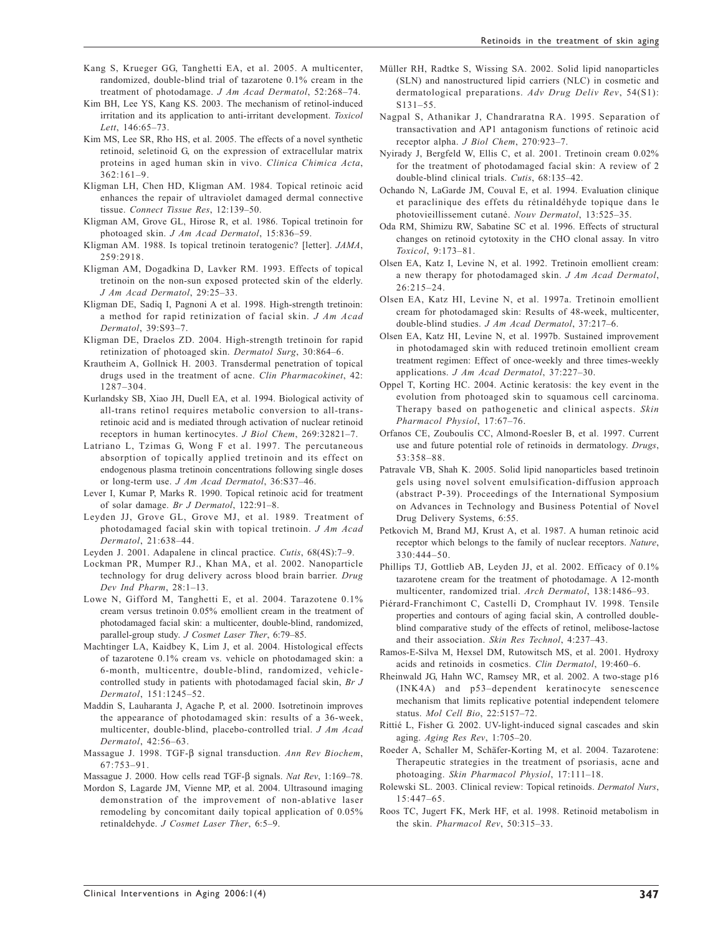Retinoids in the treatment of skin aging

- Kang S, Krueger GG, Tanghetti EA, et al. 2005. A multicenter, randomized, double-blind trial of tazarotene 0.1% cream in the treatment of photodamage. *J Am Acad Dermatol*, 52:268–74.
- Kim BH, Lee YS, Kang KS. 2003. The mechanism of retinol-induced irritation and its application to anti-irritant development. *Toxicol Lett*, 146:65–73.
- Kim MS, Lee SR, Rho HS, et al. 2005. The effects of a novel synthetic retinoid, seletinoid G, on the expression of extracellular matrix proteins in aged human skin in vivo. *Clinica Chimica Acta*, 362:161–9.
- Kligman LH, Chen HD, Kligman AM. 1984. Topical retinoic acid enhances the repair of ultraviolet damaged dermal connective tissue. *Connect Tissue Res*, 12:139–50.
- Kligman AM, Grove GL, Hirose R, et al. 1986. Topical tretinoin for photoaged skin. *J Am Acad Dermatol*, 15:836–59.
- Kligman AM. 1988. Is topical tretinoin teratogenic? [letter]. *JAMA*, 259:2918.
- Kligman AM, Dogadkina D, Lavker RM. 1993. Effects of topical tretinoin on the non-sun exposed protected skin of the elderly. *J Am Acad Dermatol*, 29:25–33.
- Kligman DE, Sadiq I, Pagnoni A et al. 1998. High-strength tretinoin: a method for rapid retinization of facial skin. *J Am Acad Dermatol*, 39:S93–7.
- Kligman DE, Draelos ZD. 2004. High-strength tretinoin for rapid retinization of photoaged skin. *Dermatol Surg*, 30:864–6.
- Krautheim A, Gollnick H. 2003. Transdermal penetration of topical drugs used in the treatment of acne. *Clin Pharmacokinet*, 42: 1287–304.
- Kurlandsky SB, Xiao JH, Duell EA, et al. 1994. Biological activity of all-trans retinol requires metabolic conversion to all-transretinoic acid and is mediated through activation of nuclear retinoid receptors in human kertinocytes. *J Biol Chem*, 269:32821–7.
- Latriano L, Tzimas G, Wong F et al. 1997. The percutaneous absorption of topically applied tretinoin and its effect on endogenous plasma tretinoin concentrations following single doses or long-term use. *J Am Acad Dermatol*, 36:S37–46.
- Lever I, Kumar P, Marks R. 1990. Topical retinoic acid for treatment of solar damage. *Br J Dermatol*, 122:91–8.
- Leyden JJ, Grove GL, Grove MJ, et al. 1989. Treatment of photodamaged facial skin with topical tretinoin. *J Am Acad Dermatol*, 21:638–44.
- Leyden J. 2001. Adapalene in clincal practice. *Cutis*, 68(4S):7–9.
- Lockman PR, Mumper RJ., Khan MA, et al. 2002. Nanoparticle technology for drug delivery across blood brain barrier. *Drug Dev Ind Pharm*, 28:1–13.
- Lowe N, Gifford M, Tanghetti E, et al. 2004. Tarazotene 0.1% cream versus tretinoin 0.05% emollient cream in the treatment of photodamaged facial skin: a multicenter, double-blind, randomized, parallel-group study. *J Cosmet Laser Ther*, 6:79–85.
- Machtinger LA, Kaidbey K, Lim J, et al. 2004. Histological effects of tazarotene 0.1% cream vs. vehicle on photodamaged skin: a 6-month, multicentre, double-blind, randomized, vehiclecontrolled study in patients with photodamaged facial skin, *Br J Dermatol*, 151:1245–52.
- Maddin S, Lauharanta J, Agache P, et al. 2000. Isotretinoin improves the appearance of photodamaged skin: results of a 36-week, multicenter, double-blind, placebo-controlled trial. *J Am Acad Dermatol*, 42:56–63.
- Massague J. 1998. TGF-β signal transduction. *Ann Rev Biochem*,  $67.753 - 91$
- Massague J. 2000. How cells read TGF-β signals. *Nat Rev*, 1:169–78.
- Mordon S, Lagarde JM, Vienne MP, et al. 2004. Ultrasound imaging demonstration of the improvement of non-ablative laser remodeling by concomitant daily topical application of 0.05% retinaldehyde. *J Cosmet Laser Ther*, 6:5–9.
- Müller RH, Radtke S, Wissing SA. 2002. Solid lipid nanoparticles (SLN) and nanostructured lipid carriers (NLC) in cosmetic and dermatological preparations. *Adv Drug Deliv Rev*, 54(S1): S131–55.
- Nagpal S, Athanikar J, Chandraratna RA. 1995. Separation of transactivation and AP1 antagonism functions of retinoic acid receptor alpha. *J Biol Chem*, 270:923–7.
- Nyirady J, Bergfeld W, Ellis C, et al. 2001. Tretinoin cream 0.02% for the treatment of photodamaged facial skin: A review of 2 double-blind clinical trials. *Cutis*, 68:135–42.
- Ochando N, LaGarde JM, Couval E, et al. 1994. Evaluation clinique et paraclinique des effets du rétinaldéhyde topique dans le photovieillissement cutané. *Nouv Dermatol*, 13:525–35.
- Oda RM, Shimizu RW, Sabatine SC et al. 1996. Effects of structural changes on retinoid cytotoxity in the CHO clonal assay. In vitro *Toxicol*, 9:173–81.
- Olsen EA, Katz I, Levine N, et al. 1992. Tretinoin emollient cream: a new therapy for photodamaged skin. *J Am Acad Dermatol*, 26:215–24.
- Olsen EA, Katz HI, Levine N, et al. 1997a. Tretinoin emollient cream for photodamaged skin: Results of 48-week, multicenter, double-blind studies. *J Am Acad Dermatol*, 37:217–6.
- Olsen EA, Katz HI, Levine N, et al. 1997b. Sustained improvement in photodamaged skin with reduced tretinoin emollient cream treatment regimen: Effect of once-weekly and three times-weekly applications. *J Am Acad Dermatol*, 37:227–30.
- Oppel T, Korting HC. 2004. Actinic keratosis: the key event in the evolution from photoaged skin to squamous cell carcinoma. Therapy based on pathogenetic and clinical aspects. *Skin Pharmacol Physiol*, 17:67–76.
- Orfanos CE, Zouboulis CC, Almond-Roesler B, et al. 1997. Current use and future potential role of retinoids in dermatology. *Drugs*, 53:358–88.
- Patravale VB, Shah K. 2005. Solid lipid nanoparticles based tretinoin gels using novel solvent emulsification-diffusion approach (abstract P-39). Proceedings of the International Symposium on Advances in Technology and Business Potential of Novel Drug Delivery Systems, 6:55.
- Petkovich M, Brand MJ, Krust A, et al. 1987. A human retinoic acid receptor which belongs to the family of nuclear receptors. *Nature*, 330:444–50.
- Phillips TJ, Gottlieb AB, Leyden JJ, et al. 2002. Efficacy of 0.1% tazarotene cream for the treatment of photodamage. A 12-month multicenter, randomized trial. *Arch Dermatol*, 138:1486–93.
- Piérard-Franchimont C, Castelli D, Cromphaut IV. 1998. Tensile properties and contours of aging facial skin, A controlled doubleblind comparative study of the effects of retinol, melibose-lactose and their association. *Skin Res Technol*, 4:237–43.
- Ramos-E-Silva M, Hexsel DM, Rutowitsch MS, et al. 2001. Hydroxy acids and retinoids in cosmetics. *Clin Dermatol*, 19:460–6.
- Rheinwald JG, Hahn WC, Ramsey MR, et al. 2002. A two-stage p16 (INK4A) and p53–dependent keratinocyte senescence mechanism that limits replicative potential independent telomere status. *Mol Cell Bio*, 22:5157–72.
- Rittié L, Fisher G. 2002. UV-light-induced signal cascades and skin aging. *Aging Res Rev*, 1:705–20.
- Roeder A, Schaller M, Schäfer-Korting M, et al. 2004. Tazarotene: Therapeutic strategies in the treatment of psoriasis, acne and photoaging. *Skin Pharmacol Physiol*, 17:111–18.
- Rolewski SL. 2003. Clinical review: Topical retinoids. *Dermatol Nurs*, 15:447–65.
- Roos TC, Jugert FK, Merk HF, et al. 1998. Retinoid metabolism in the skin. *Pharmacol Rev*, 50:315–33.